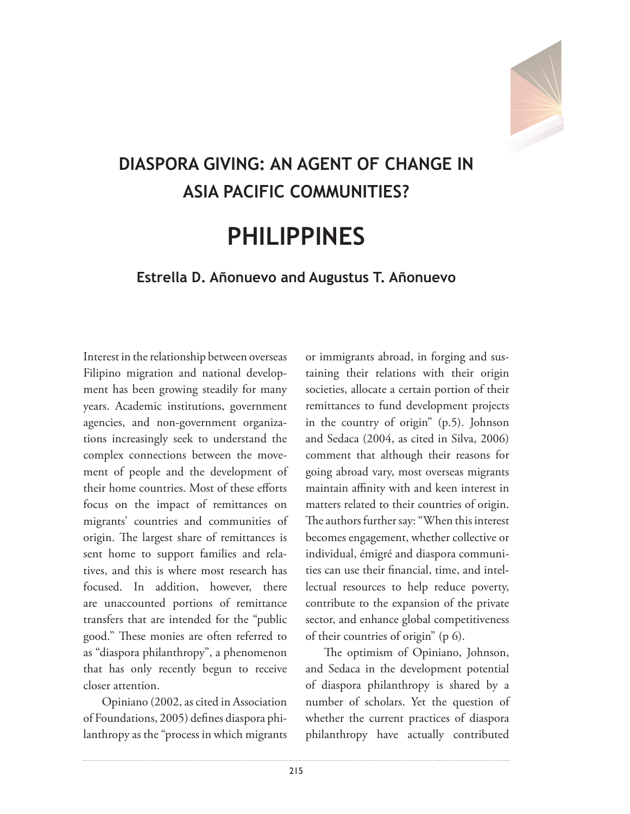

# **DiaspoRa giVing: an agenT oF CHange in asia paCiFiC CommuniTies? pHilippines**

# **estrella D. añonuevo and augustus T. añonuevo**

Interest in the relationship between overseas Filipino migration and national development has been growing steadily for many years. Academic institutions, government agencies, and non-government organizations increasingly seek to understand the complex connections between the movement of people and the development of their home countries. Most of these efforts focus on the impact of remittances on migrants' countries and communities of origin. The largest share of remittances is sent home to support families and relatives, and this is where most research has focused. in addition, however, there are unaccounted portions of remittance transfers that are intended for the "public good." These monies are often referred to as "diaspora philanthropy", a phenomenon that has only recently begun to receive closer attention.

Opiniano (2002, as cited in Association of Foundations, 2005) defines diaspora philanthropy as the "process in which migrants

or immigrants abroad, in forging and sustaining their relations with their origin societies, allocate a certain portion of their remittances to fund development projects in the country of origin" (p.5). Johnson and Sedaca (2004, as cited in Silva, 2006) comment that although their reasons for going abroad vary, most overseas migrants maintain affinity with and keen interest in matters related to their countries of origin. The authors further say: "When this interest becomes engagement, whether collective or individual, émigré and diaspora communities can use their financial, time, and intellectual resources to help reduce poverty, contribute to the expansion of the private sector, and enhance global competitiveness of their countries of origin" (p 6).

The optimism of Opiniano, Johnson, and Sedaca in the development potential of diaspora philanthropy is shared by a number of scholars. Yet the question of whether the current practices of diaspora philanthropy have actually contributed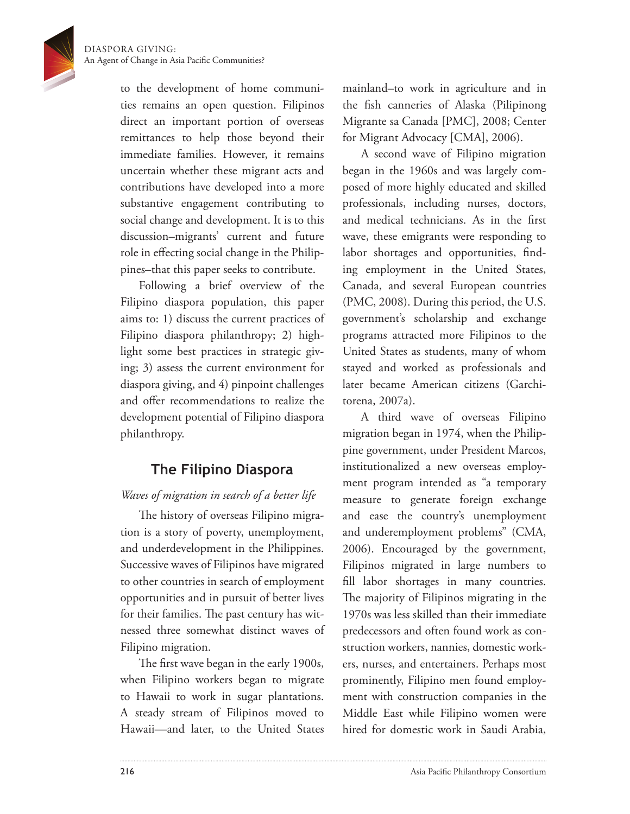Diaspora Giving: An Agent of Change in Asia Pacific Communities?

> to the development of home communities remains an open question. Filipinos direct an important portion of overseas remittances to help those beyond their immediate families. However, it remains uncertain whether these migrant acts and contributions have developed into a more substantive engagement contributing to social change and development. It is to this discussion–migrants' current and future role in effecting social change in the Philippines–that this paper seeks to contribute.

> Following a brief overview of the Filipino diaspora population, this paper aims to: 1) discuss the current practices of Filipino diaspora philanthropy; 2) highlight some best practices in strategic giving; 3) assess the current environment for diaspora giving, and 4) pinpoint challenges and offer recommendations to realize the development potential of Filipino diaspora philanthropy.

## **The Filipino Diaspora**

#### *Waves of migration in search of a better life*

The history of overseas Filipino migration is a story of poverty, unemployment, and underdevelopment in the Philippines. Successive waves of Filipinos have migrated to other countries in search of employment opportunities and in pursuit of better lives for their families. The past century has witnessed three somewhat distinct waves of Filipino migration.

The first wave began in the early 1900s, when Filipino workers began to migrate to Hawaii to work in sugar plantations. A steady stream of Filipinos moved to Hawaii—and later, to the United States

mainland–to work in agriculture and in the fish canneries of Alaska (Pilipinong Migrante sa Canada [PMC], 2008; Center for Migrant Advocacy [CMA], 2006).

A second wave of Filipino migration began in the 1960s and was largely composed of more highly educated and skilled professionals, including nurses, doctors, and medical technicians. As in the first wave, these emigrants were responding to labor shortages and opportunities, finding employment in the United States, Canada, and several European countries (PMC, 2008). During this period, the U.S. government's scholarship and exchange programs attracted more Filipinos to the United States as students, many of whom stayed and worked as professionals and later became American citizens (Garchitorena, 2007a).

A third wave of overseas Filipino migration began in 1974, when the Philippine government, under President Marcos, institutionalized a new overseas employment program intended as "a temporary measure to generate foreign exchange and ease the country's unemployment and underemployment problems" (CMA, 2006). Encouraged by the government, Filipinos migrated in large numbers to fill labor shortages in many countries. The majority of Filipinos migrating in the 1970s was less skilled than their immediate predecessors and often found work as construction workers, nannies, domestic workers, nurses, and entertainers. Perhaps most prominently, Filipino men found employment with construction companies in the Middle East while Filipino women were hired for domestic work in Saudi Arabia,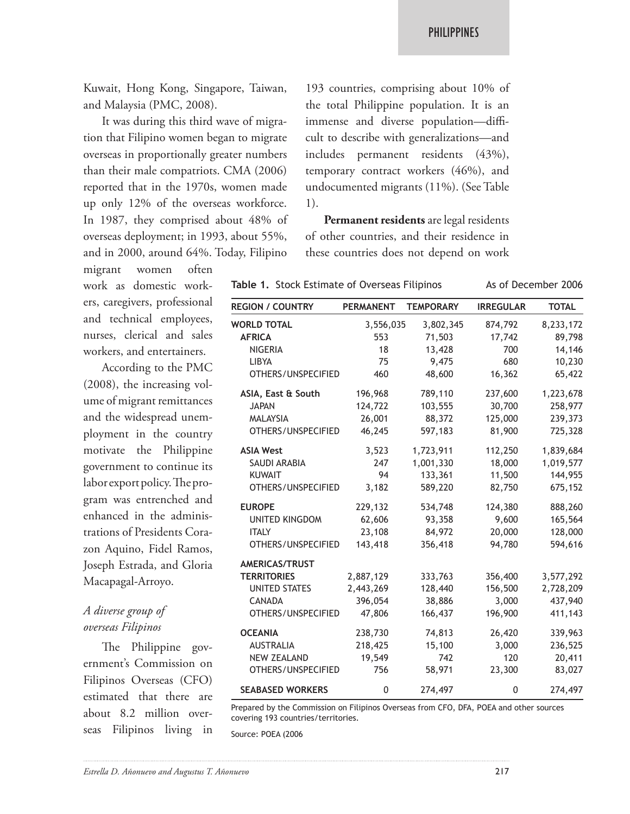Kuwait, Hong Kong, Singapore, Taiwan, and Malaysia (PMC, 2008).

It was during this third wave of migration that Filipino women began to migrate overseas in proportionally greater numbers than their male compatriots. CMA (2006) reported that in the 1970s, women made up only 12% of the overseas workforce. In 1987, they comprised about 48% of overseas deployment; in 1993, about 55%, and in 2000, around 64%. Today, Filipino

193 countries, comprising about 10% of the total Philippine population. It is an immense and diverse population—difficult to describe with generalizations—and includes permanent residents (43%), temporary contract workers (46%), and undocumented migrants (11%). (See Table 1).

**Permanent residents** are legal residents of other countries, and their residence in these countries does not depend on work

**Table 1.** Stock Estimate of Overseas Filipinos As of December 2006

migrant women often work as domestic workers, caregivers, professional and technical employees, nurses, clerical and sales workers, and entertainers.

According to the PMC (2008), the increasing volume of migrant remittances and the widespread unemployment in the country motivate the Philippine government to continue its labor export policy. The program was entrenched and enhanced in the administrations of Presidents Corazon Aquino, Fidel Ramos, Joseph Estrada, and Gloria Macapagal-Arroyo.

## *A diverse group of overseas Filipinos*

The Philippine government's Commission on Filipinos Overseas (CFO) estimated that there are about 8.2 million overseas Filipinos living in

| <b>PERMANENT</b> | <b>TEMPORARY</b>                                                                                                                 | <b>IRREGULAR</b> | <b>TOTAL</b> |
|------------------|----------------------------------------------------------------------------------------------------------------------------------|------------------|--------------|
|                  | 3,802,345                                                                                                                        | 874,792          | 8,233,172    |
| 553              | 71,503                                                                                                                           | 17,742           | 89,798       |
| 18               | 13,428                                                                                                                           | 700              | 14,146       |
| 75               | 9,475                                                                                                                            | 680              | 10,230       |
| 460              | 48,600                                                                                                                           | 16,362           | 65,422       |
| 196,968          | 789,110                                                                                                                          | 237,600          | 1,223,678    |
| 124,722          | 103,555                                                                                                                          | 30,700           | 258,977      |
| 26,001           | 88,372                                                                                                                           | 125,000          | 239,373      |
| 46,245           | 597,183                                                                                                                          | 81,900           | 725,328      |
| 3,523            | 1,723,911                                                                                                                        | 112,250          | 1,839,684    |
| 247              | 1,001,330                                                                                                                        | 18,000           | 1,019,577    |
| 94               | 133,361                                                                                                                          | 11,500           | 144,955      |
| 3,182            | 589,220                                                                                                                          | 82,750           | 675,152      |
| 229,132          | 534,748                                                                                                                          | 124,380          | 888,260      |
| 62,606           | 93,358                                                                                                                           | 9,600            | 165,564      |
| 23,108           | 84,972                                                                                                                           | 20,000           | 128,000      |
| 143,418          | 356,418                                                                                                                          | 94,780           | 594,616      |
|                  |                                                                                                                                  |                  |              |
| 2,887,129        | 333,763                                                                                                                          | 356,400          | 3,577,292    |
| 2,443,269        | 128,440                                                                                                                          | 156,500          | 2,728,209    |
| 396,054          | 38,886                                                                                                                           | 3,000            | 437,940      |
| 47,806           | 166,437                                                                                                                          | 196,900          | 411,143      |
| 238,730          | 74,813                                                                                                                           | 26,420           | 339,963      |
| 218,425          | 15,100                                                                                                                           | 3,000            | 236,525      |
| 19,549           | 742                                                                                                                              | 120              | 20,411       |
| 756              | 58,971                                                                                                                           | 23,300           | 83,027       |
| 0                | 274,497                                                                                                                          | $\mathbf{0}$     | 274,497      |
|                  | OTHERS/UNSPECIFIED<br>OTHERS/UNSPECIFIED<br>OTHERS/UNSPECIFIED<br>OTHERS/UNSPECIFIED<br>OTHERS/UNSPECIFIED<br>OTHERS/UNSPECIFIED | 3,556,035        |              |

Prepared by the Commission on Filipinos Overseas from CFO, DFA, POEA and other sources covering 193 countries/territories.

Source: POEA (2006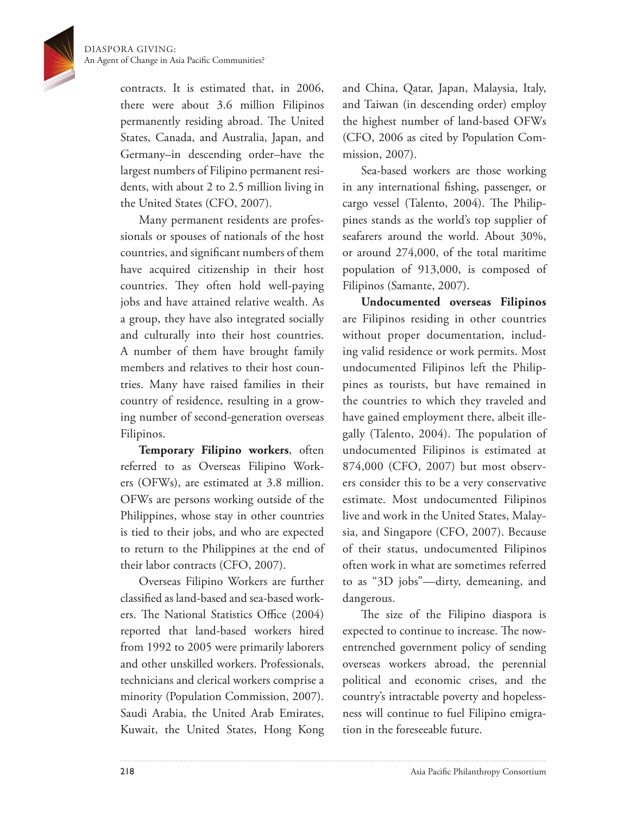

Diaspora Giving: An Agent of Change in Asia Pacific Communities?

> contracts. It is estimated that, in 2006, there were about 3.6 million Filipinos permanently residing abroad. The United States, Canada, and Australia, Japan, and Germany–in descending order–have the largest numbers of Filipino permanent residents, with about 2 to 2.5 million living in the United States (CFO, 2007).

> Many permanent residents are professionals or spouses of nationals of the host countries, and significant numbers of them have acquired citizenship in their host countries. They often hold well-paying jobs and have attained relative wealth. As a group, they have also integrated socially and culturally into their host countries. A number of them have brought family members and relatives to their host countries. Many have raised families in their country of residence, resulting in a growing number of second-generation overseas Filipinos.

> **Temporary Filipino workers**, often referred to as Overseas Filipino Workers (OFWs), are estimated at 3.8 million. OFWs are persons working outside of the Philippines, whose stay in other countries is tied to their jobs, and who are expected to return to the Philippines at the end of their labor contracts (CFO, 2007).

> Overseas Filipino Workers are further classified as land-based and sea-based workers. The National Statistics Office (2004) reported that land-based workers hired from 1992 to 2005 were primarily laborers and other unskilled workers. Professionals, technicians and clerical workers comprise a minority (Population Commission, 2007). Saudi Arabia, the United Arab Emirates, Kuwait, the United States, Hong Kong

and China, Qatar, Japan, Malaysia, Italy, and Taiwan (in descending order) employ the highest number of land-based OFWs (CFO, 2006 as cited by Population Commission, 2007).

Sea-based workers are those working in any international fishing, passenger, or cargo vessel (Talento, 2004). The Philippines stands as the world's top supplier of seafarers around the world. About 30%, or around 274,000, of the total maritime population of 913,000, is composed of Filipinos (Samante, 2007).

**Undocumented overseas Filipinos** are Filipinos residing in other countries without proper documentation, including valid residence or work permits. Most undocumented Filipinos left the Philippines as tourists, but have remained in the countries to which they traveled and have gained employment there, albeit illegally (Talento, 2004). The population of undocumented Filipinos is estimated at 874,000 (CFO, 2007) but most observers consider this to be a very conservative estimate. Most undocumented Filipinos live and work in the United States, Malaysia, and Singapore (CFO, 2007). Because of their status, undocumented Filipinos often work in what are sometimes referred to as "3D jobs"—dirty, demeaning, and dangerous.

The size of the Filipino diaspora is expected to continue to increase. The nowentrenched government policy of sending overseas workers abroad, the perennial political and economic crises, and the country's intractable poverty and hopelessness will continue to fuel Filipino emigration in the foreseeable future.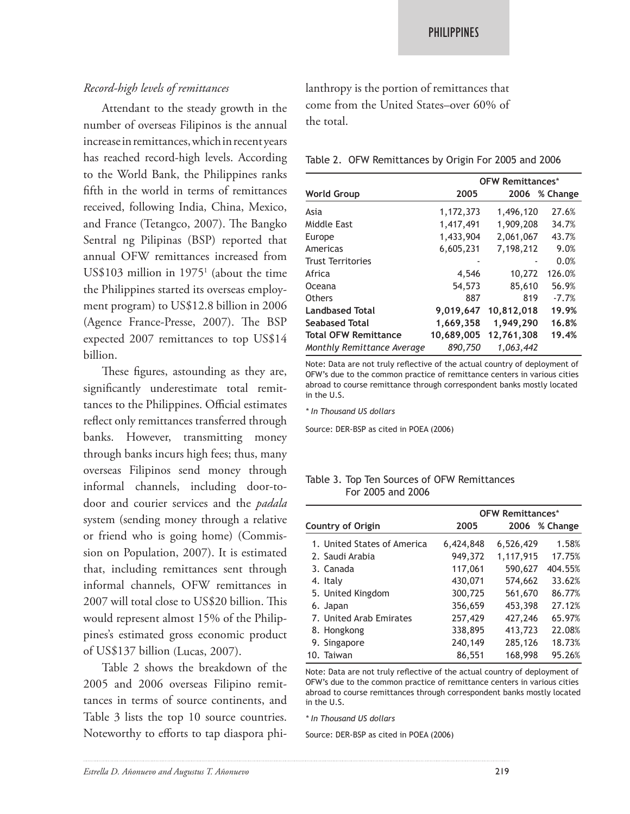#### *Record-high levels of remittances*

Attendant to the steady growth in the number of overseas Filipinos is the annual increase in remittances, which in recent years has reached record-high levels. According to the World Bank, the Philippines ranks fifth in the world in terms of remittances received, following India, China, Mexico, and France (Tetangco, 2007). The Bangko Sentral ng Pilipinas (BSP) reported that annual OFW remittances increased from US\$103 million in  $1975<sup>1</sup>$  (about the time the Philippines started its overseas employment program) to US\$12.8 billion in 2006 (Agence France-Presse, 2007). The BSP expected 2007 remittances to top US\$14 billion.

These figures, astounding as they are, significantly underestimate total remittances to the Philippines. Official estimates reflect only remittances transferred through banks. However, transmitting money through banks incurs high fees; thus, many overseas Filipinos send money through informal channels, including door-todoor and courier services and the *padala*  system (sending money through a relative or friend who is going home) (Commission on Population, 2007). It is estimated that, including remittances sent through informal channels, OFW remittances in 2007 will total close to US\$20 billion. This would represent almost 15% of the Philippines's estimated gross economic product of US\$137 billion (Lucas, 2007).

Table 2 shows the breakdown of the 2005 and 2006 overseas Filipino remittances in terms of source continents, and Table 3 lists the top 10 source countries. Noteworthy to efforts to tap diaspora philanthropy is the portion of remittances that come from the United States–over 60% of the total.

Table 2. OFW Remittances by Origin For 2005 and 2006

|                             | <b>OFW Remittances*</b> |            |          |  |
|-----------------------------|-------------------------|------------|----------|--|
| <b>World Group</b>          | 2005                    | 2006       | % Change |  |
| Asia                        | 1,172,373               | 1,496,120  | 27.6%    |  |
| Middle East                 | 1,417,491               | 1,909,208  | 34.7%    |  |
| Europe                      | 1,433,904               | 2.061.067  | 43.7%    |  |
| Americas                    | 6,605,231               | 7,198,212  | 9.0%     |  |
| <b>Trust Territories</b>    |                         |            | 0.0%     |  |
| Africa                      | 4,546                   | 10,272     | 126.0%   |  |
| Oceana                      | 54,573                  | 85,610     | 56.9%    |  |
| <b>Others</b>               | 887                     | 819        | $-7.7%$  |  |
| <b>Landbased Total</b>      | 9,019,647               | 10,812,018 | 19.9%    |  |
| <b>Seabased Total</b>       | 1,669,358               | 1,949,290  | 16.8%    |  |
| <b>Total OFW Remittance</b> | 10,689,005              | 12,761,308 | 19.4%    |  |
| Monthly Remittance Average  | 890,750                 | 1.063.442  |          |  |

Note: Data are not truly reflective of the actual country of deployment of OFW's due to the common practice of remittance centers in various cities abroad to course remittance through correspondent banks mostly located in the U.S.

*\* In Thousand US dollars*

Source: DER-BSP as cited in POEA (2006)

#### Table 3. Top Ten Sources of OFW Remittances For 2005 and 2006

|                             | <b>OFW Remittances*</b> |           |          |  |
|-----------------------------|-------------------------|-----------|----------|--|
| <b>Country of Origin</b>    | 2005                    | 2006      | % Change |  |
| 1. United States of America | 6,424,848               | 6,526,429 | 1.58%    |  |
| 2. Saudi Arabia             | 949,372                 | 1,117,915 | 17.75%   |  |
| 3. Canada                   | 117,061                 | 590,627   | 404.55%  |  |
| 4. Italy                    | 430,071                 | 574,662   | 33.62%   |  |
| 5. United Kingdom           | 300,725                 | 561,670   | 86.77%   |  |
| 6. Japan                    | 356,659                 | 453,398   | 27.12%   |  |
| 7. United Arab Emirates     | 257,429                 | 427,246   | 65.97%   |  |
| 8. Hongkong                 | 338,895                 | 413,723   | 22.08%   |  |
| 9. Singapore                | 240,149                 | 285,126   | 18.73%   |  |
| 10. Taiwan                  | 86,551                  | 168,998   | 95.26%   |  |

Note: Data are not truly reflective of the actual country of deployment of OFW's due to the common practice of remittance centers in various cities abroad to course remittances through correspondent banks mostly located in the U.S.

*\* In Thousand US dollars*

Source: DER-BSP as cited in POEA (2006)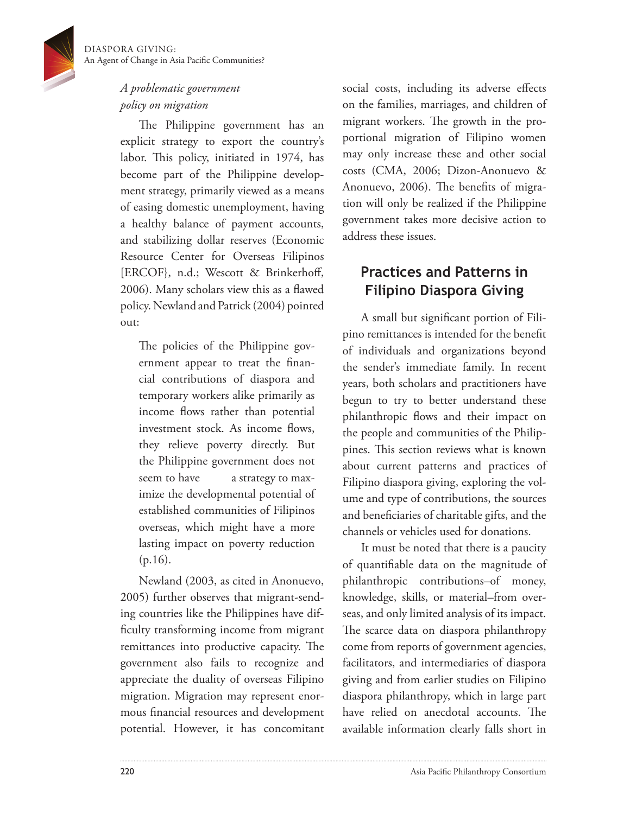Diaspora Giving: An Agent of Change in Asia Pacific Communities?

## *A problematic government policy on migration*

The Philippine government has an explicit strategy to export the country's labor. This policy, initiated in 1974, has become part of the Philippine development strategy, primarily viewed as a means of easing domestic unemployment, having a healthy balance of payment accounts, and stabilizing dollar reserves (Economic Resource Center for Overseas Filipinos [ERCOF}, n.d.; Wescott & Brinkerhoff, 2006). Many scholars view this as a flawed policy. Newland and Patrick (2004) pointed out:

The policies of the Philippine government appear to treat the financial contributions of diaspora and temporary workers alike primarily as income flows rather than potential investment stock. As income flows, they relieve poverty directly. But the Philippine government does not seem to have a strategy to maximize the developmental potential of established communities of Filipinos overseas, which might have a more lasting impact on poverty reduction (p.16).

Newland (2003, as cited in Anonuevo, 2005) further observes that migrant-sending countries like the Philippines have difficulty transforming income from migrant remittances into productive capacity. The government also fails to recognize and appreciate the duality of overseas Filipino migration. Migration may represent enormous financial resources and development potential. However, it has concomitant social costs, including its adverse effects on the families, marriages, and children of migrant workers. The growth in the proportional migration of Filipino women may only increase these and other social costs (CMA, 2006; Dizon-Anonuevo & Anonuevo, 2006). The benefits of migration will only be realized if the Philippine government takes more decisive action to address these issues.

# **Practices and Patterns in Filipino Diaspora Giving**

A small but significant portion of Filipino remittances is intended for the benefit of individuals and organizations beyond the sender's immediate family. In recent years, both scholars and practitioners have begun to try to better understand these philanthropic flows and their impact on the people and communities of the Philippines. This section reviews what is known about current patterns and practices of Filipino diaspora giving, exploring the volume and type of contributions, the sources and beneficiaries of charitable gifts, and the channels or vehicles used for donations.

It must be noted that there is a paucity of quantifiable data on the magnitude of philanthropic contributions–of money, knowledge, skills, or material–from overseas, and only limited analysis of its impact. The scarce data on diaspora philanthropy come from reports of government agencies, facilitators, and intermediaries of diaspora giving and from earlier studies on Filipino diaspora philanthropy, which in large part have relied on anecdotal accounts. The available information clearly falls short in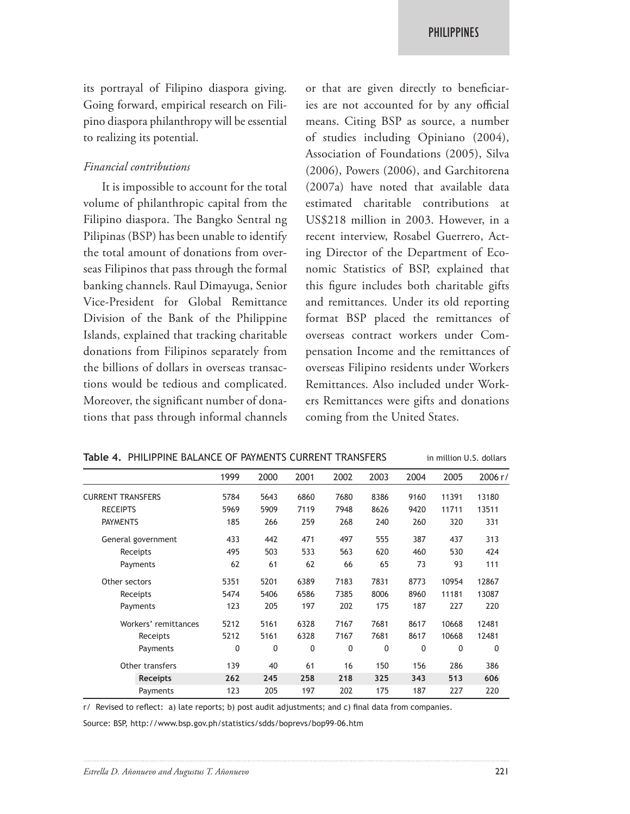its portrayal of Filipino diaspora giving. Going forward, empirical research on Filipino diaspora philanthropy will be essential to realizing its potential.

#### *Financial contributions*

It is impossible to account for the total volume of philanthropic capital from the Filipino diaspora. The Bangko Sentral ng Pilipinas (BSP) has been unable to identify the total amount of donations from overseas Filipinos that pass through the formal banking channels. Raul Dimayuga, Senior Vice-President for Global Remittance Division of the Bank of the Philippine Islands, explained that tracking charitable donations from Filipinos separately from the billions of dollars in overseas transactions would be tedious and complicated. Moreover, the significant number of donations that pass through informal channels

or that are given directly to beneficiaries are not accounted for by any official means. Citing BSP as source, a number of studies including Opiniano (2004), Association of Foundations (2005), Silva (2006), Powers (2006), and Garchitorena (2007a) have noted that available data estimated charitable contributions at US\$218 million in 2003. However, in a recent interview, Rosabel Guerrero, Acting Director of the Department of Economic Statistics of BSP, explained that this figure includes both charitable gifts and remittances. Under its old reporting format BSP placed the remittances of overseas contract workers under Compensation Income and the remittances of overseas Filipino residents under Workers Remittances. Also included under Workers Remittances were gifts and donations coming from the United States.

|                          | 1999 | 2000 | 2001         | 2002 | 2003 | 2004         | 2005  | 2006 r/ |
|--------------------------|------|------|--------------|------|------|--------------|-------|---------|
| <b>CURRENT TRANSFERS</b> | 5784 | 5643 | 6860         | 7680 | 8386 | 9160         | 11391 | 13180   |
| <b>RECEIPTS</b>          | 5969 | 5909 | 7119         | 7948 | 8626 | 9420         | 11711 | 13511   |
| <b>PAYMENTS</b>          | 185  | 266  | 259          | 268  | 240  | 260          | 320   | 331     |
| General government       | 433  | 442  | 471          | 497  | 555  | 387          | 437   | 313     |
| Receipts                 | 495  | 503  | 533          | 563  | 620  | 460          | 530   | 424     |
| Payments                 | 62   | 61   | 62           | 66   | 65   | 73           | 93    | 111     |
| Other sectors            | 5351 | 5201 | 6389         | 7183 | 7831 | 8773         | 10954 | 12867   |
| Receipts                 | 5474 | 5406 | 6586         | 7385 | 8006 | 8960         | 11181 | 13087   |
| Payments                 | 123  | 205  | 197          | 202  | 175  | 187          | 227   | 220     |
| Workers' remittances     | 5212 | 5161 | 6328         | 7167 | 7681 | 8617         | 10668 | 12481   |
| Receipts                 | 5212 | 5161 | 6328         | 7167 | 7681 | 8617         | 10668 | 12481   |
| Payments                 | 0    | 0    | $\mathbf{0}$ | 0    | 0    | $\mathbf{0}$ | 0     | 0       |
| Other transfers          | 139  | 40   | 61           | 16   | 150  | 156          | 286   | 386     |
| Receipts                 | 262  | 245  | 258          | 218  | 325  | 343          | 513   | 606     |
| Payments                 | 123  | 205  | 197          | 202  | 175  | 187          | 227   | 220     |

**Table 4.** PHILIPPINE BALANCE OF PAYMENTS CURRENT TRANSFERSin million U.S. dollars

r/ Revised to reflect: a) late reports; b) post audit adjustments; and c) final data from companies.

Source: BSP, http://www.bsp.gov.ph/statistics/sdds/boprevs/bop99-06.htm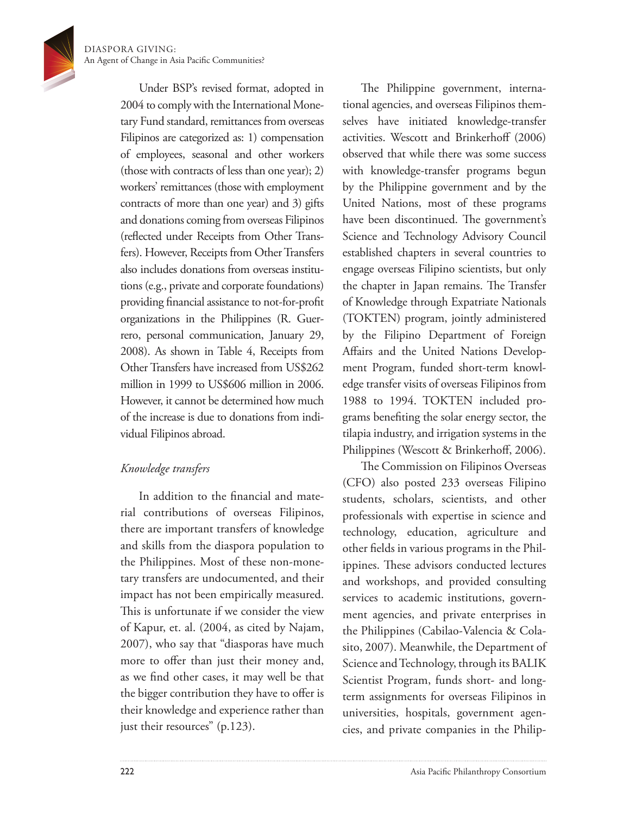Diaspora Giving: An Agent of Change in Asia Pacific Communities?

> Under BSP's revised format, adopted in 2004 to comply with the International Monetary Fund standard, remittances from overseas Filipinos are categorized as: 1) compensation of employees, seasonal and other workers (those with contracts of less than one year); 2) workers' remittances (those with employment contracts of more than one year) and 3) gifts and donations coming from overseas Filipinos (reflected under Receipts from Other Transfers). However, Receipts from Other Transfers also includes donations from overseas institutions (e.g., private and corporate foundations) providing financial assistance to not-for-profit organizations in the Philippines (R. Guerrero, personal communication, January 29, 2008). As shown in Table 4, Receipts from Other Transfers have increased from US\$262 million in 1999 to US\$606 million in 2006. However, it cannot be determined how much of the increase is due to donations from individual Filipinos abroad.

#### *Knowledge transfers*

In addition to the financial and material contributions of overseas Filipinos, there are important transfers of knowledge and skills from the diaspora population to the Philippines. Most of these non-monetary transfers are undocumented, and their impact has not been empirically measured. This is unfortunate if we consider the view of Kapur, et. al. (2004, as cited by Najam, 2007), who say that "diasporas have much more to offer than just their money and, as we find other cases, it may well be that the bigger contribution they have to offer is their knowledge and experience rather than just their resources" (p.123).

The Philippine government, international agencies, and overseas Filipinos themselves have initiated knowledge-transfer activities. Wescott and Brinkerhoff (2006) observed that while there was some success with knowledge-transfer programs begun by the Philippine government and by the United Nations, most of these programs have been discontinued. The government's Science and Technology Advisory Council established chapters in several countries to engage overseas Filipino scientists, but only the chapter in Japan remains. The Transfer of Knowledge through Expatriate Nationals (TOKTEN) program, jointly administered by the Filipino Department of Foreign Affairs and the United Nations Development Program, funded short-term knowledge transfer visits of overseas Filipinos from 1988 to 1994. TOKTEN included programs benefiting the solar energy sector, the tilapia industry, and irrigation systems in the Philippines (Wescott & Brinkerhoff, 2006).

The Commission on Filipinos Overseas (CFO) also posted 233 overseas Filipino students, scholars, scientists, and other professionals with expertise in science and technology, education, agriculture and other fields in various programs in the Philippines. These advisors conducted lectures and workshops, and provided consulting services to academic institutions, government agencies, and private enterprises in the Philippines (Cabilao-Valencia & Colasito, 2007). Meanwhile, the Department of Science and Technology, through its BALIK Scientist Program, funds short- and longterm assignments for overseas Filipinos in universities, hospitals, government agencies, and private companies in the Philip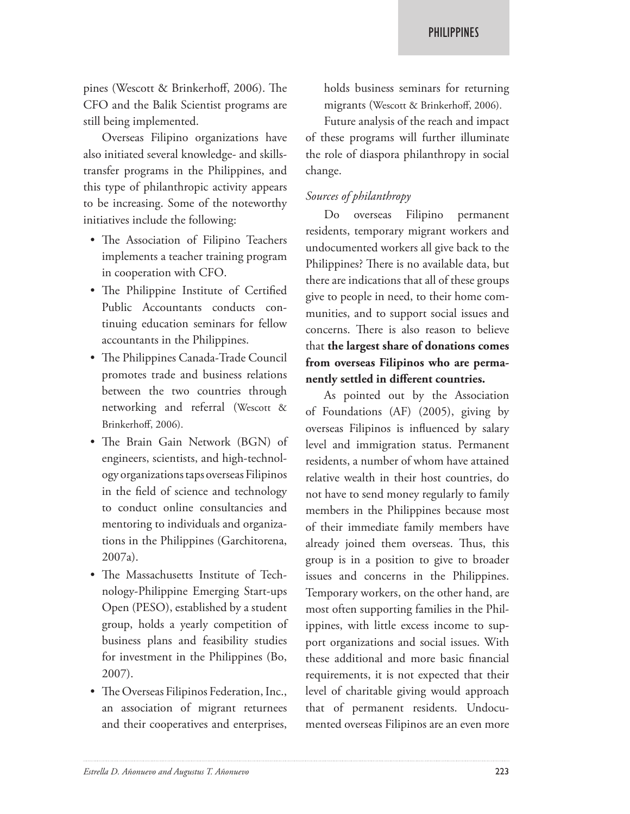pines (Wescott & Brinkerhoff, 2006). The CFO and the Balik Scientist programs are still being implemented.

Overseas Filipino organizations have also initiated several knowledge- and skillstransfer programs in the Philippines, and this type of philanthropic activity appears to be increasing. Some of the noteworthy initiatives include the following:

- • The Association of Filipino Teachers implements a teacher training program in cooperation with CFO.
- The Philippine Institute of Certified Public Accountants conducts continuing education seminars for fellow accountants in the Philippines.
- The Philippines Canada-Trade Council promotes trade and business relations between the two countries through networking and referral (Wescott & Brinkerhoff, 2006).
- The Brain Gain Network (BGN) of engineers, scientists, and high-technology organizations taps overseas Filipinos in the field of science and technology to conduct online consultancies and mentoring to individuals and organizations in the Philippines (Garchitorena, 2007a).
- • The Massachusetts Institute of Technology-Philippine Emerging Start-ups Open (PESO), established by a student group, holds a yearly competition of business plans and feasibility studies for investment in the Philippines (Bo, 2007).
- The Overseas Filipinos Federation, Inc., an association of migrant returnees and their cooperatives and enterprises,

holds business seminars for returning migrants (Wescott & Brinkerhoff, 2006).

Future analysis of the reach and impact of these programs will further illuminate the role of diaspora philanthropy in social change.

#### *Sources of philanthropy*

Do overseas Filipino permanent residents, temporary migrant workers and undocumented workers all give back to the Philippines? There is no available data, but there are indications that all of these groups give to people in need, to their home communities, and to support social issues and concerns. There is also reason to believe that **the largest share of donations comes from overseas Filipinos who are permanently settled in different countries.** 

As pointed out by the Association of Foundations (AF) (2005), giving by overseas Filipinos is influenced by salary level and immigration status. Permanent residents, a number of whom have attained relative wealth in their host countries, do not have to send money regularly to family members in the Philippines because most of their immediate family members have already joined them overseas. Thus, this group is in a position to give to broader issues and concerns in the Philippines. Temporary workers, on the other hand, are most often supporting families in the Philippines, with little excess income to support organizations and social issues. With these additional and more basic financial requirements, it is not expected that their level of charitable giving would approach that of permanent residents. Undocumented overseas Filipinos are an even more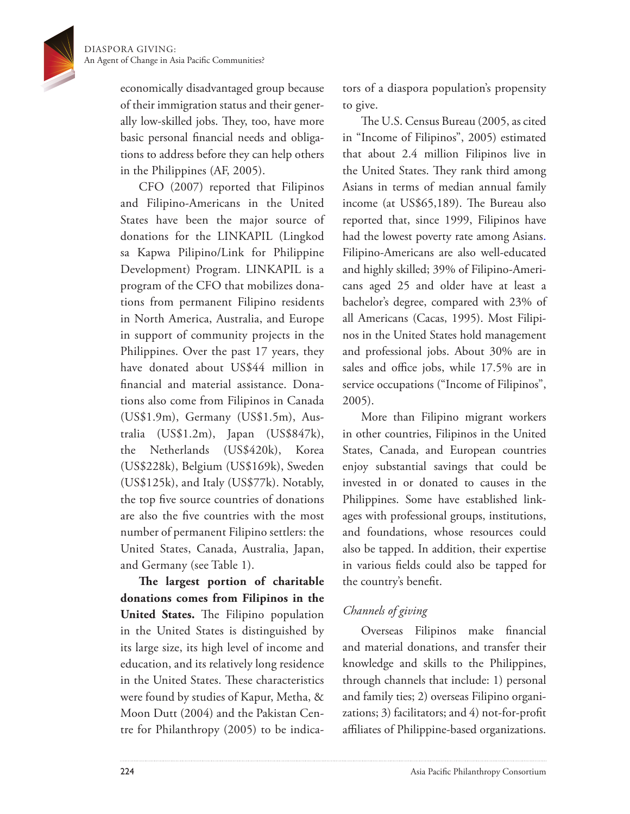economically disadvantaged group because of their immigration status and their generally low-skilled jobs. They, too, have more basic personal financial needs and obligations to address before they can help others in the Philippines (AF, 2005).

CFO (2007) reported that Filipinos and Filipino-Americans in the United States have been the major source of donations for the LINKAPIL (Lingkod sa Kapwa Pilipino/Link for Philippine Development) Program. LINKAPIL is a program of the CFO that mobilizes donations from permanent Filipino residents in North America, Australia, and Europe in support of community projects in the Philippines. Over the past 17 years, they have donated about US\$44 million in financial and material assistance. Donations also come from Filipinos in Canada (US\$1.9m), Germany (US\$1.5m), Australia (US\$1.2m), Japan (US\$847k), the Netherlands (US\$420k), Korea (US\$228k), Belgium (US\$169k), Sweden (US\$125k), and Italy (US\$77k). Notably, the top five source countries of donations are also the five countries with the most number of permanent Filipino settlers: the United States, Canada, Australia, Japan, and Germany (see Table 1).

**The largest portion of charitable donations comes from Filipinos in the United States.** The Filipino population in the United States is distinguished by its large size, its high level of income and education, and its relatively long residence in the United States. These characteristics were found by studies of Kapur, Metha, & Moon Dutt (2004) and the Pakistan Centre for Philanthropy (2005) to be indicators of a diaspora population's propensity to give.

The U.S. Census Bureau (2005, as cited in "Income of Filipinos", 2005) estimated that about 2.4 million Filipinos live in the United States. They rank third among Asians in terms of median annual family income (at US\$65,189). The Bureau also reported that, since 1999, Filipinos have had the lowest poverty rate among Asians. Filipino-Americans are also well-educated and highly skilled; 39% of Filipino-Americans aged 25 and older have at least a bachelor's degree, compared with 23% of all Americans (Cacas, 1995). Most Filipinos in the United States hold management and professional jobs. About 30% are in sales and office jobs, while 17.5% are in service occupations ("Income of Filipinos", 2005).

More than Filipino migrant workers in other countries, Filipinos in the United States, Canada, and European countries enjoy substantial savings that could be invested in or donated to causes in the Philippines. Some have established linkages with professional groups, institutions, and foundations, whose resources could also be tapped. In addition, their expertise in various fields could also be tapped for the country's benefit.

## *Channels of giving*

Overseas Filipinos make financial and material donations, and transfer their knowledge and skills to the Philippines, through channels that include: 1) personal and family ties; 2) overseas Filipino organizations; 3) facilitators; and 4) not-for-profit affiliates of Philippine-based organizations.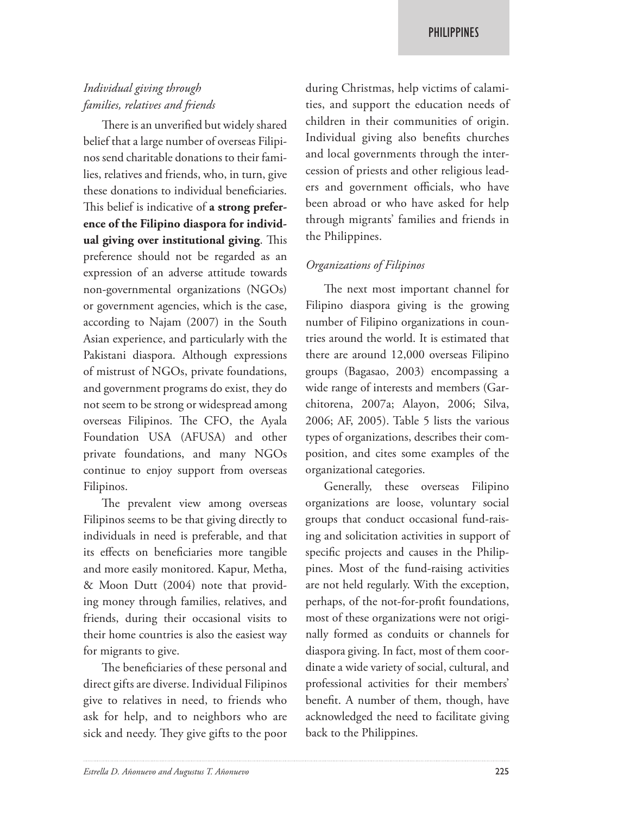# *Individual giving through families, relatives and friends*

There is an unverified but widely shared belief that a large number of overseas Filipinos send charitable donations to their families, relatives and friends, who, in turn, give these donations to individual beneficiaries. This belief is indicative of **a strong preference of the Filipino diaspora for individual giving over institutional giving**. This preference should not be regarded as an expression of an adverse attitude towards non-governmental organizations (NGOs) or government agencies, which is the case, according to Najam (2007) in the South Asian experience, and particularly with the Pakistani diaspora. Although expressions of mistrust of NGOs, private foundations, and government programs do exist, they do not seem to be strong or widespread among overseas Filipinos. The CFO, the Ayala Foundation USA (AFUSA) and other private foundations, and many NGOs continue to enjoy support from overseas Filipinos.

The prevalent view among overseas Filipinos seems to be that giving directly to individuals in need is preferable, and that its effects on beneficiaries more tangible and more easily monitored. Kapur, Metha, & Moon Dutt (2004) note that providing money through families, relatives, and friends, during their occasional visits to their home countries is also the easiest way for migrants to give.

The beneficiaries of these personal and direct gifts are diverse. Individual Filipinos give to relatives in need, to friends who ask for help, and to neighbors who are sick and needy. They give gifts to the poor

during Christmas, help victims of calamities, and support the education needs of children in their communities of origin. Individual giving also benefits churches and local governments through the intercession of priests and other religious leaders and government officials, who have been abroad or who have asked for help through migrants' families and friends in the Philippines.

## *Organizations of Filipinos*

The next most important channel for Filipino diaspora giving is the growing number of Filipino organizations in countries around the world. It is estimated that there are around 12,000 overseas Filipino groups (Bagasao, 2003) encompassing a wide range of interests and members (Garchitorena, 2007a; Alayon, 2006; Silva, 2006; AF, 2005). Table 5 lists the various types of organizations, describes their composition, and cites some examples of the organizational categories.

Generally, these overseas Filipino organizations are loose, voluntary social groups that conduct occasional fund-raising and solicitation activities in support of specific projects and causes in the Philippines. Most of the fund-raising activities are not held regularly. With the exception, perhaps, of the not-for-profit foundations, most of these organizations were not originally formed as conduits or channels for diaspora giving. In fact, most of them coordinate a wide variety of social, cultural, and professional activities for their members' benefit. A number of them, though, have acknowledged the need to facilitate giving back to the Philippines.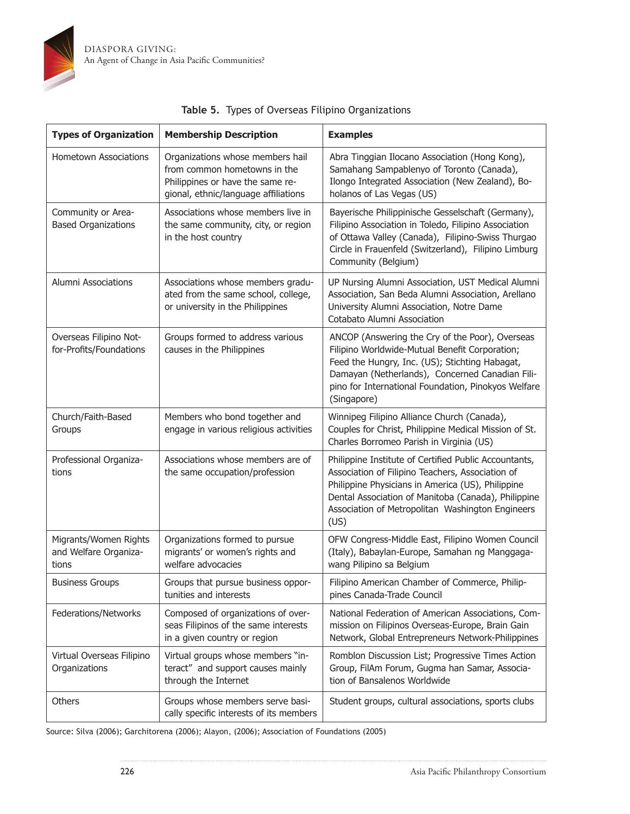

| <b>Types of Organization</b>                            | <b>Membership Description</b>                                                                                                                | <b>Examples</b>                                                                                                                                                                                                                                                                   |
|---------------------------------------------------------|----------------------------------------------------------------------------------------------------------------------------------------------|-----------------------------------------------------------------------------------------------------------------------------------------------------------------------------------------------------------------------------------------------------------------------------------|
| <b>Hometown Associations</b>                            | Organizations whose members hail<br>from common hometowns in the<br>Philippines or have the same re-<br>gional, ethnic/language affiliations | Abra Tinggian Ilocano Association (Hong Kong),<br>Samahang Sampablenyo of Toronto (Canada),<br>Ilongo Integrated Association (New Zealand), Bo-<br>holanos of Las Vegas (US)                                                                                                      |
| Community or Area-<br><b>Based Organizations</b>        | Associations whose members live in<br>the same community, city, or region<br>in the host country                                             | Bayerische Philippinische Gesselschaft (Germany),<br>Filipino Association in Toledo, Filipino Association<br>of Ottawa Valley (Canada), Filipino-Swiss Thurgao<br>Circle in Frauenfeld (Switzerland), Filipino Limburg<br>Community (Belgium)                                     |
| Alumni Associations                                     | Associations whose members gradu-<br>ated from the same school, college,<br>or university in the Philippines                                 | UP Nursing Alumni Association, UST Medical Alumni<br>Association, San Beda Alumni Association, Arellano<br>University Alumni Association, Notre Dame<br>Cotabato Alumni Association                                                                                               |
| Overseas Filipino Not-<br>for-Profits/Foundations       | Groups formed to address various<br>causes in the Philippines                                                                                | ANCOP (Answering the Cry of the Poor), Overseas<br>Filipino Worldwide-Mutual Benefit Corporation;<br>Feed the Hungry, Inc. (US); Stichting Habagat,<br>Damayan (Netherlands), Concerned Canadian Fili-<br>pino for International Foundation, Pinokyos Welfare<br>(Singapore)      |
| Church/Faith-Based<br>Groups                            | Members who bond together and<br>engage in various religious activities                                                                      | Winnipeg Filipino Alliance Church (Canada),<br>Couples for Christ, Philippine Medical Mission of St.<br>Charles Borromeo Parish in Virginia (US)                                                                                                                                  |
| Professional Organiza-<br>tions                         | Associations whose members are of<br>the same occupation/profession                                                                          | Philippine Institute of Certified Public Accountants,<br>Association of Filipino Teachers, Association of<br>Philippine Physicians in America (US), Philippine<br>Dental Association of Manitoba (Canada), Philippine<br>Association of Metropolitan Washington Engineers<br>(US) |
| Migrants/Women Rights<br>and Welfare Organiza-<br>tions | Organizations formed to pursue<br>migrants' or women's rights and<br>welfare advocacies                                                      | OFW Congress-Middle East, Filipino Women Council<br>(Italy), Babaylan-Europe, Samahan ng Manggaga-<br>wang Pilipino sa Belgium                                                                                                                                                    |
| <b>Business Groups</b>                                  | Groups that pursue business oppor-<br>tunities and interests                                                                                 | Filipino American Chamber of Commerce, Philip-<br>pines Canada-Trade Council                                                                                                                                                                                                      |
| Federations/Networks                                    | Composed of organizations of over-<br>seas Filipinos of the same interests<br>in a given country or region                                   | National Federation of American Associations, Com-<br>mission on Filipinos Overseas-Europe, Brain Gain<br>Network, Global Entrepreneurs Network-Philippines                                                                                                                       |
| Virtual Overseas Filipino<br>Organizations              | Virtual groups whose members "in-<br>teract" and support causes mainly<br>through the Internet                                               | Romblon Discussion List; Progressive Times Action<br>Group, FilAm Forum, Gugma han Samar, Associa-<br>tion of Bansalenos Worldwide                                                                                                                                                |
| <b>Others</b>                                           | Groups whose members serve basi-<br>cally specific interests of its members                                                                  | Student groups, cultural associations, sports clubs                                                                                                                                                                                                                               |

#### **Table 5.** Types of Overseas Filipino Organizations

Source: Silva (2006); Garchitorena (2006); Alayon, (2006); Association of Foundations (2005)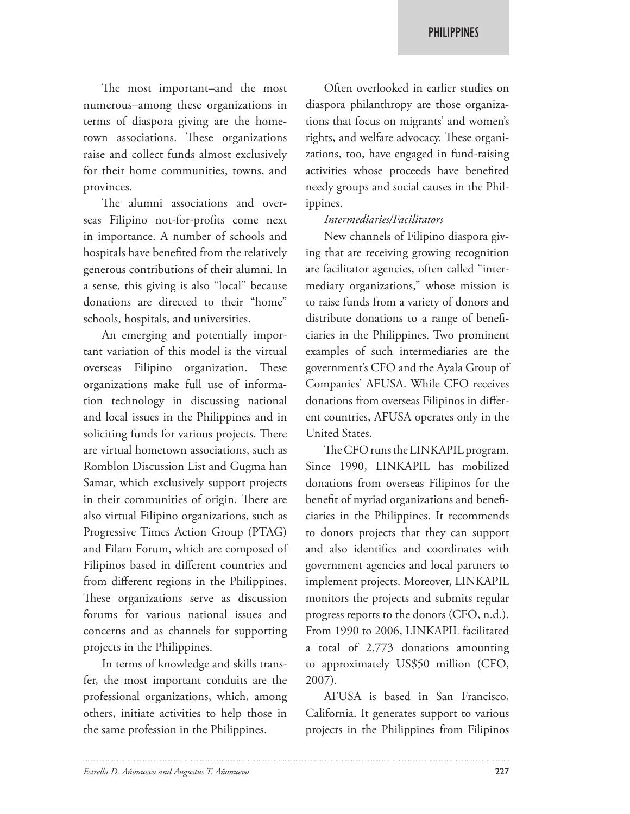The most important–and the most numerous–among these organizations in terms of diaspora giving are the hometown associations. These organizations raise and collect funds almost exclusively for their home communities, towns, and provinces.

The alumni associations and overseas Filipino not-for-profits come next in importance. A number of schools and hospitals have benefited from the relatively generous contributions of their alumni*.* In a sense, this giving is also "local" because donations are directed to their "home" schools, hospitals, and universities.

An emerging and potentially important variation of this model is the virtual overseas Filipino organization. These organizations make full use of information technology in discussing national and local issues in the Philippines and in soliciting funds for various projects. There are virtual hometown associations, such as Romblon Discussion List and Gugma han Samar, which exclusively support projects in their communities of origin. There are also virtual Filipino organizations, such as Progressive Times Action Group (PTAG) and Filam Forum, which are composed of Filipinos based in different countries and from different regions in the Philippines. These organizations serve as discussion forums for various national issues and concerns and as channels for supporting projects in the Philippines.

In terms of knowledge and skills transfer, the most important conduits are the professional organizations, which, among others, initiate activities to help those in the same profession in the Philippines.

Often overlooked in earlier studies on diaspora philanthropy are those organizations that focus on migrants' and women's rights, and welfare advocacy. These organizations, too, have engaged in fund-raising activities whose proceeds have benefited needy groups and social causes in the Philippines.

#### *Intermediaries/Facilitators*

New channels of Filipino diaspora giving that are receiving growing recognition are facilitator agencies, often called "intermediary organizations," whose mission is to raise funds from a variety of donors and distribute donations to a range of beneficiaries in the Philippines. Two prominent examples of such intermediaries are the government's CFO and the Ayala Group of Companies' AFUSA. While CFO receives donations from overseas Filipinos in different countries, AFUSA operates only in the United States.

The CFO runs the LINKAPIL program. Since 1990, LINKAPIL has mobilized donations from overseas Filipinos for the benefit of myriad organizations and beneficiaries in the Philippines. It recommends to donors projects that they can support and also identifies and coordinates with government agencies and local partners to implement projects. Moreover, LINKAPIL monitors the projects and submits regular progress reports to the donors (CFO, n.d.). From 1990 to 2006, LINKAPIL facilitated a total of 2,773 donations amounting to approximately US\$50 million (CFO, 2007).

AFUSA is based in San Francisco, California. It generates support to various projects in the Philippines from Filipinos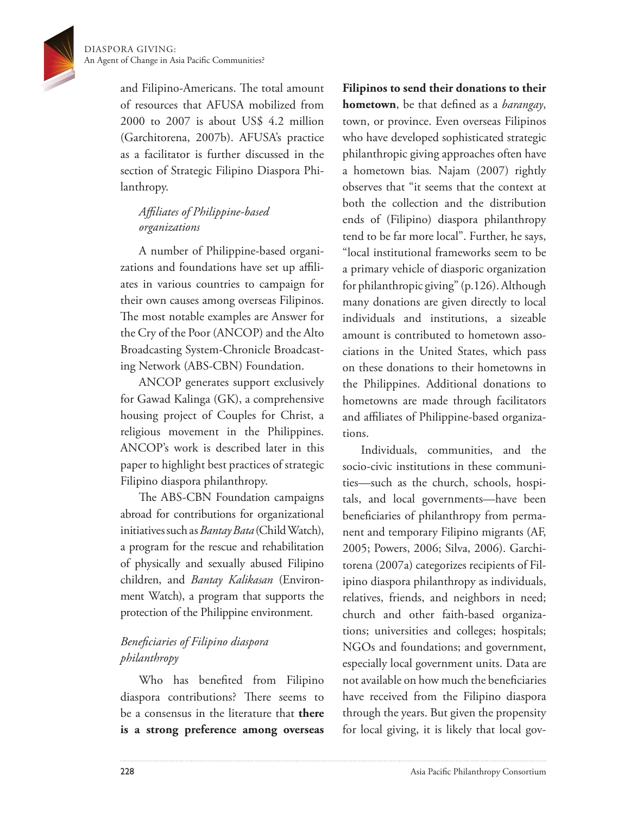

and Filipino-Americans. The total amount of resources that AFUSA mobilized from 2000 to 2007 is about US\$ 4.2 million (Garchitorena, 2007b). AFUSA's practice as a facilitator is further discussed in the section of Strategic Filipino Diaspora Philanthropy.

## *Affiliates of Philippine-based organizations*

A number of Philippine-based organizations and foundations have set up affiliates in various countries to campaign for their own causes among overseas Filipinos. The most notable examples are Answer for the Cry of the Poor (ANCOP) and the Alto Broadcasting System-Chronicle Broadcasting Network (ABS-CBN) Foundation.

ANCOP generates support exclusively for Gawad Kalinga (GK), a comprehensive housing project of Couples for Christ, a religious movement in the Philippines. ANCOP's work is described later in this paper to highlight best practices of strategic Filipino diaspora philanthropy.

The ABS-CBN Foundation campaigns abroad for contributions for organizational initiatives such as*Bantay Bata* (Child Watch), a program for the rescue and rehabilitation of physically and sexually abused Filipino children, and *Bantay Kalikasan* (Environment Watch), a program that supports the protection of the Philippine environment*.*

# *Beneficiaries of Filipino diaspora philanthropy*

Who has benefited from Filipino diaspora contributions? There seems to be a consensus in the literature that **there is a strong preference among overseas**  **Filipinos to send their donations to their hometown**, be that defined as a *barangay*, town, or province. Even overseas Filipinos who have developed sophisticated strategic philanthropic giving approaches often have a hometown bias*.* Najam (2007) rightly observes that "it seems that the context at both the collection and the distribution ends of (Filipino) diaspora philanthropy tend to be far more local". Further, he says, "local institutional frameworks seem to be a primary vehicle of diasporic organization for philanthropic giving" (p.126). Although many donations are given directly to local individuals and institutions, a sizeable amount is contributed to hometown associations in the United States, which pass on these donations to their hometowns in the Philippines. Additional donations to hometowns are made through facilitators and affiliates of Philippine-based organizations.

Individuals, communities, and the socio-civic institutions in these communities—such as the church, schools, hospitals, and local governments—have been beneficiaries of philanthropy from permanent and temporary Filipino migrants (AF, 2005; Powers, 2006; Silva, 2006). Garchitorena (2007a) categorizes recipients of Filipino diaspora philanthropy as individuals, relatives, friends, and neighbors in need; church and other faith-based organizations; universities and colleges; hospitals; NGOs and foundations; and government, especially local government units. Data are not available on how much the beneficiaries have received from the Filipino diaspora through the years. But given the propensity for local giving, it is likely that local gov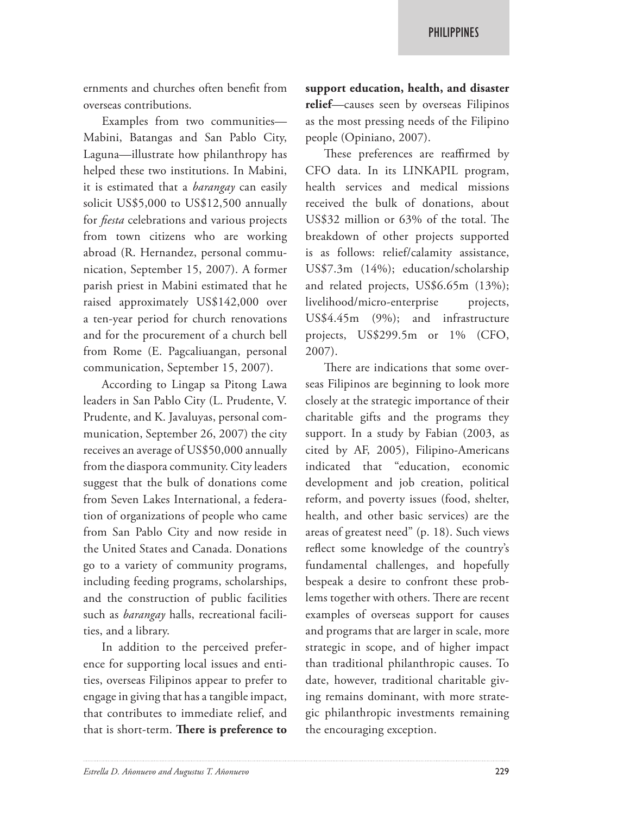ernments and churches often benefit from overseas contributions.

Examples from two communities— Mabini, Batangas and San Pablo City, Laguna—illustrate how philanthropy has helped these two institutions. In Mabini, it is estimated that a *barangay* can easily solicit US\$5,000 to US\$12,500 annually for *fiesta* celebrations and various projects from town citizens who are working abroad (R. Hernandez, personal communication, September 15, 2007). A former parish priest in Mabini estimated that he raised approximately US\$142,000 over a ten-year period for church renovations and for the procurement of a church bell from Rome (E. Pagcaliuangan, personal communication, September 15, 2007).

According to Lingap sa Pitong Lawa leaders in San Pablo City (L. Prudente, V. Prudente, and K. Javaluyas, personal communication, September 26, 2007) the city receives an average of US\$50,000 annually from the diaspora community. City leaders suggest that the bulk of donations come from Seven Lakes International, a federation of organizations of people who came from San Pablo City and now reside in the United States and Canada. Donations go to a variety of community programs, including feeding programs, scholarships, and the construction of public facilities such as *barangay* halls, recreational facilities, and a library.

In addition to the perceived preference for supporting local issues and entities, overseas Filipinos appear to prefer to engage in giving that has a tangible impact, that contributes to immediate relief, and that is short-term. **There is preference to** 

**support education, health, and disaster relief**—causes seen by overseas Filipinos as the most pressing needs of the Filipino people (Opiniano, 2007).

These preferences are reaffirmed by CFO data. In its LINKAPIL program, health services and medical missions received the bulk of donations, about US\$32 million or 63% of the total. The breakdown of other projects supported is as follows: relief/calamity assistance, US\$7.3m (14%); education/scholarship and related projects, US\$6.65m (13%); livelihood/micro-enterprise projects, US\$4.45m (9%); and infrastructure projects, US\$299.5m or 1% (CFO, 2007).

There are indications that some overseas Filipinos are beginning to look more closely at the strategic importance of their charitable gifts and the programs they support. In a study by Fabian (2003, as cited by AF, 2005), Filipino-Americans indicated that "education, economic development and job creation, political reform, and poverty issues (food, shelter, health, and other basic services) are the areas of greatest need" (p. 18). Such views reflect some knowledge of the country's fundamental challenges, and hopefully bespeak a desire to confront these problems together with others. There are recent examples of overseas support for causes and programs that are larger in scale, more strategic in scope, and of higher impact than traditional philanthropic causes. To date, however, traditional charitable giving remains dominant, with more strategic philanthropic investments remaining the encouraging exception.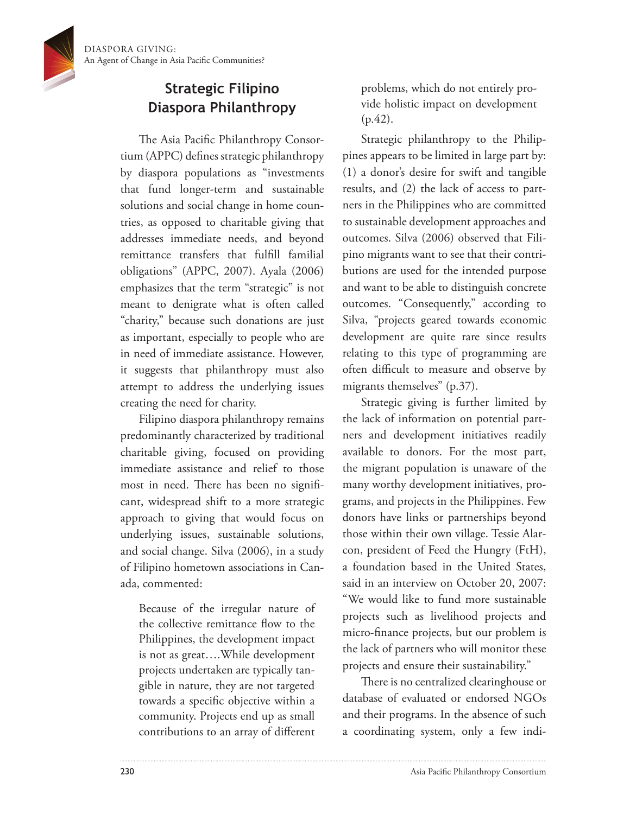# **Strategic Filipino Diaspora Philanthropy**

The Asia Pacific Philanthropy Consortium (APPC) defines strategic philanthropy by diaspora populations as "investments that fund longer-term and sustainable solutions and social change in home countries, as opposed to charitable giving that addresses immediate needs, and beyond remittance transfers that fulfill familial obligations" (APPC, 2007). Ayala (2006) emphasizes that the term "strategic" is not meant to denigrate what is often called "charity," because such donations are just as important, especially to people who are in need of immediate assistance. However, it suggests that philanthropy must also attempt to address the underlying issues creating the need for charity.

Filipino diaspora philanthropy remains predominantly characterized by traditional charitable giving, focused on providing immediate assistance and relief to those most in need. There has been no significant, widespread shift to a more strategic approach to giving that would focus on underlying issues, sustainable solutions, and social change. Silva (2006), in a study of Filipino hometown associations in Canada, commented:

Because of the irregular nature of the collective remittance flow to the Philippines, the development impact is not as great….While development projects undertaken are typically tangible in nature, they are not targeted towards a specific objective within a community. Projects end up as small contributions to an array of different

problems, which do not entirely provide holistic impact on development  $(p.42)$ .

Strategic philanthropy to the Philippines appears to be limited in large part by: (1) a donor's desire for swift and tangible results, and (2) the lack of access to partners in the Philippines who are committed to sustainable development approaches and outcomes. Silva (2006) observed that Filipino migrants want to see that their contributions are used for the intended purpose and want to be able to distinguish concrete outcomes. "Consequently," according to Silva, "projects geared towards economic development are quite rare since results relating to this type of programming are often difficult to measure and observe by migrants themselves" (p.37).

Strategic giving is further limited by the lack of information on potential partners and development initiatives readily available to donors. For the most part, the migrant population is unaware of the many worthy development initiatives, programs, and projects in the Philippines. Few donors have links or partnerships beyond those within their own village. Tessie Alarcon, president of Feed the Hungry (FtH), a foundation based in the United States, said in an interview on October 20, 2007: "We would like to fund more sustainable projects such as livelihood projects and micro-finance projects, but our problem is the lack of partners who will monitor these projects and ensure their sustainability."

There is no centralized clearinghouse or database of evaluated or endorsed NGOs and their programs. In the absence of such a coordinating system, only a few indi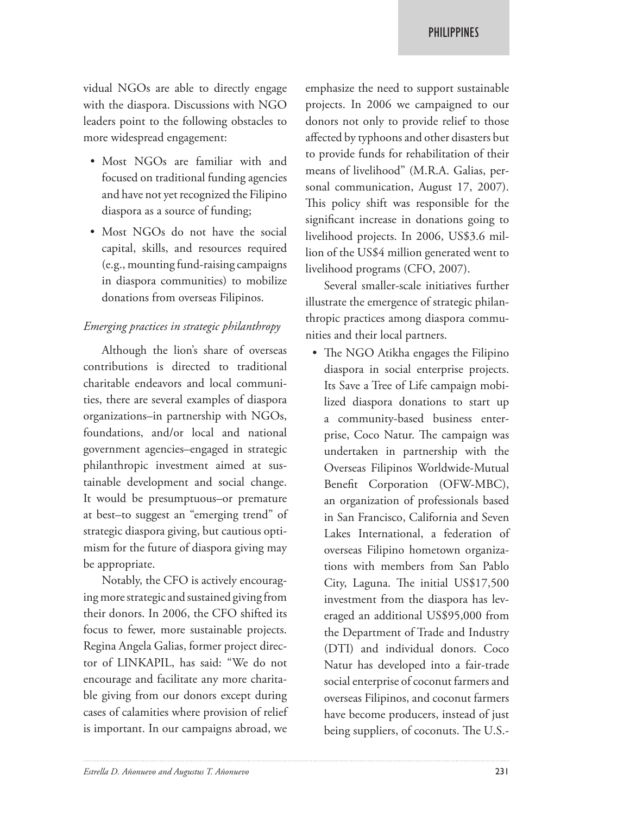vidual NGOs are able to directly engage with the diaspora. Discussions with NGO leaders point to the following obstacles to more widespread engagement:

- • Most NGOs are familiar with and focused on traditional funding agencies and have not yet recognized the Filipino diaspora as a source of funding;
- Most NGOs do not have the social capital, skills, and resources required (e.g., mounting fund-raising campaigns in diaspora communities) to mobilize donations from overseas Filipinos.

#### *Emerging practices in strategic philanthropy*

Although the lion's share of overseas contributions is directed to traditional charitable endeavors and local communities, there are several examples of diaspora organizations–in partnership with NGOs, foundations, and/or local and national government agencies–engaged in strategic philanthropic investment aimed at sustainable development and social change. It would be presumptuous–or premature at best–to suggest an "emerging trend" of strategic diaspora giving, but cautious optimism for the future of diaspora giving may be appropriate.

Notably, the CFO is actively encouraging more strategic and sustained giving from their donors. In 2006, the CFO shifted its focus to fewer, more sustainable projects. Regina Angela Galias, former project director of LINKAPIL, has said: "We do not encourage and facilitate any more charitable giving from our donors except during cases of calamities where provision of relief is important. In our campaigns abroad, we

emphasize the need to support sustainable projects. In 2006 we campaigned to our donors not only to provide relief to those affected by typhoons and other disasters but to provide funds for rehabilitation of their means of livelihood" (M.R.A. Galias, personal communication, August 17, 2007). This policy shift was responsible for the significant increase in donations going to livelihood projects. In 2006, US\$3.6 million of the US\$4 million generated went to livelihood programs (CFO, 2007).

Several smaller-scale initiatives further illustrate the emergence of strategic philanthropic practices among diaspora communities and their local partners.

• The NGO Atikha engages the Filipino diaspora in social enterprise projects. Its Save a Tree of Life campaign mobilized diaspora donations to start up a community-based business enterprise, Coco Natur. The campaign was undertaken in partnership with the Overseas Filipinos Worldwide-Mutual Benefit Corporation (OFW-MBC), an organization of professionals based in San Francisco, California and Seven Lakes International, a federation of overseas Filipino hometown organizations with members from San Pablo City, Laguna. The initial US\$17,500 investment from the diaspora has leveraged an additional US\$95,000 from the Department of Trade and Industry (DTI) and individual donors. Coco Natur has developed into a fair-trade social enterprise of coconut farmers and overseas Filipinos, and coconut farmers have become producers, instead of just being suppliers, of coconuts. The U.S.-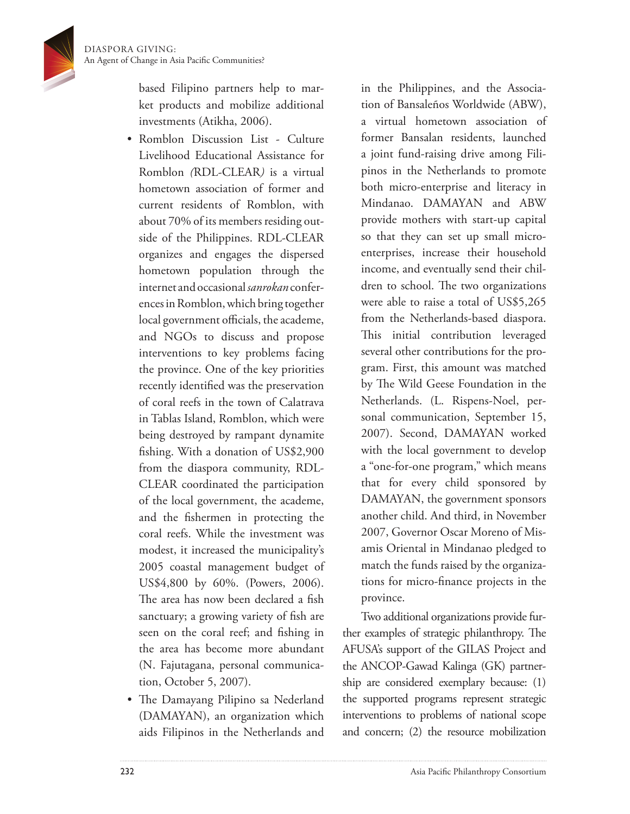

based Filipino partners help to market products and mobilize additional investments (Atikha, 2006).

- Romblon Discussion List Culture Livelihood Educational Assistance for Romblon *(*RDL-CLEAR*)* is a virtual hometown association of former and current residents of Romblon, with about 70% of its members residing outside of the Philippines. RDL-CLEAR organizes and engages the dispersed hometown population through the internet and occasional *sanrokan* conferences in Romblon, which bring together local government officials, the academe, and NGOs to discuss and propose interventions to key problems facing the province. One of the key priorities recently identified was the preservation of coral reefs in the town of Calatrava in Tablas Island, Romblon, which were being destroyed by rampant dynamite fishing. With a donation of US\$2,900 from the diaspora community, RDL-CLEAR coordinated the participation of the local government, the academe, and the fishermen in protecting the coral reefs. While the investment was modest, it increased the municipality's 2005 coastal management budget of US\$4,800 by 60%. (Powers, 2006). The area has now been declared a fish sanctuary; a growing variety of fish are seen on the coral reef; and fishing in the area has become more abundant (N. Fajutagana, personal communication, October 5, 2007).
- The Damayang Pilipino sa Nederland (DAMAYAN), an organization which aids Filipinos in the Netherlands and

in the Philippines, and the Association of Bansaleños Worldwide (ABW), a virtual hometown association of former Bansalan residents, launched a joint fund-raising drive among Filipinos in the Netherlands to promote both micro-enterprise and literacy in Mindanao. DAMAYAN and ABW provide mothers with start-up capital so that they can set up small microenterprises, increase their household income, and eventually send their children to school. The two organizations were able to raise a total of US\$5,265 from the Netherlands-based diaspora. This initial contribution leveraged several other contributions for the program. First, this amount was matched by The Wild Geese Foundation in the Netherlands. (L. Rispens-Noel, personal communication, September 15, 2007). Second, DAMAYAN worked with the local government to develop a "one-for-one program," which means that for every child sponsored by DAMAYAN, the government sponsors another child. And third, in November 2007, Governor Oscar Moreno of Misamis Oriental in Mindanao pledged to match the funds raised by the organizations for micro-finance projects in the province.

Two additional organizations provide further examples of strategic philanthropy. The AFUSA's support of the GILAS Project and the ANCOP-Gawad Kalinga (GK) partnership are considered exemplary because: (1) the supported programs represent strategic interventions to problems of national scope and concern; (2) the resource mobilization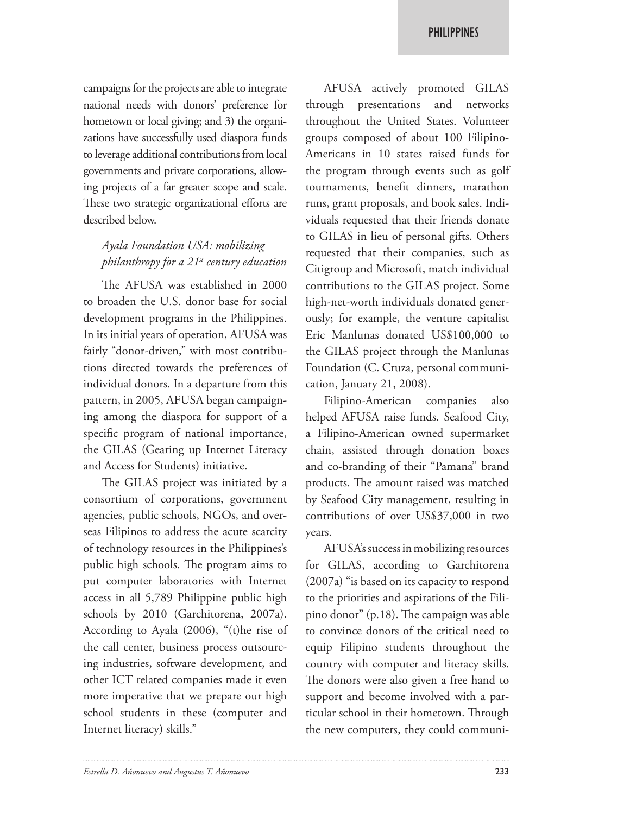campaigns for the projects are able to integrate national needs with donors' preference for hometown or local giving; and 3) the organizations have successfully used diaspora funds to leverage additional contributions from local governments and private corporations, allowing projects of a far greater scope and scale. These two strategic organizational efforts are described below.

## *Ayala Foundation USA: mobilizing philanthropy for a 21st century education*

The AFUSA was established in 2000 to broaden the U.S. donor base for social development programs in the Philippines. In its initial years of operation, AFUSA was fairly "donor-driven," with most contributions directed towards the preferences of individual donors. In a departure from this pattern, in 2005, AFUSA began campaigning among the diaspora for support of a specific program of national importance, the GILAS (Gearing up Internet Literacy and Access for Students) initiative.

The GILAS project was initiated by a consortium of corporations, government agencies, public schools, NGOs, and overseas Filipinos to address the acute scarcity of technology resources in the Philippines's public high schools. The program aims to put computer laboratories with Internet access in all 5,789 Philippine public high schools by 2010 (Garchitorena, 2007a). According to Ayala (2006), "(t)he rise of the call center, business process outsourcing industries, software development, and other ICT related companies made it even more imperative that we prepare our high school students in these (computer and Internet literacy) skills."

AFUSA actively promoted GILAS through presentations and networks throughout the United States. Volunteer groups composed of about 100 Filipino-Americans in 10 states raised funds for the program through events such as golf tournaments, benefit dinners, marathon runs, grant proposals, and book sales. Individuals requested that their friends donate to GILAS in lieu of personal gifts. Others requested that their companies, such as Citigroup and Microsoft, match individual contributions to the GILAS project. Some high-net-worth individuals donated generously; for example, the venture capitalist Eric Manlunas donated US\$100,000 to the GILAS project through the Manlunas Foundation (C. Cruza, personal communication, January 21, 2008).

Filipino-American companies also helped AFUSA raise funds. Seafood City, a Filipino-American owned supermarket chain, assisted through donation boxes and co-branding of their "Pamana" brand products. The amount raised was matched by Seafood City management, resulting in contributions of over US\$37,000 in two years.

AFUSA's success in mobilizing resources for GILAS, according to Garchitorena (2007a) "is based on its capacity to respond to the priorities and aspirations of the Filipino donor" (p.18). The campaign was able to convince donors of the critical need to equip Filipino students throughout the country with computer and literacy skills. The donors were also given a free hand to support and become involved with a particular school in their hometown. Through the new computers, they could communi-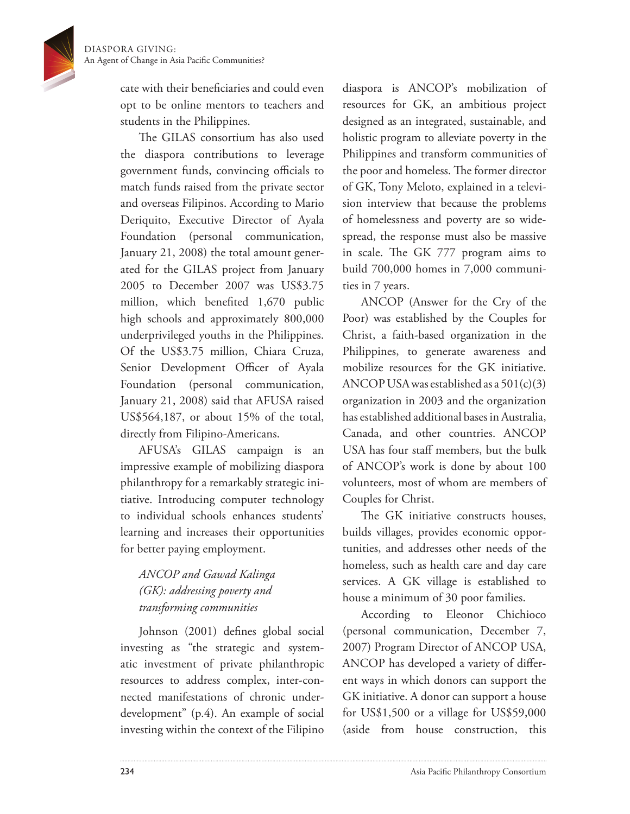

cate with their beneficiaries and could even opt to be online mentors to teachers and students in the Philippines.

The GILAS consortium has also used the diaspora contributions to leverage government funds, convincing officials to match funds raised from the private sector and overseas Filipinos. According to Mario Deriquito, Executive Director of Ayala Foundation (personal communication, January 21, 2008) the total amount generated for the GILAS project from January 2005 to December 2007 was US\$3.75 million, which benefited 1,670 public high schools and approximately 800,000 underprivileged youths in the Philippines. Of the US\$3.75 million, Chiara Cruza, Senior Development Officer of Ayala Foundation (personal communication, January 21, 2008) said that AFUSA raised US\$564,187, or about 15% of the total, directly from Filipino-Americans.

AFUSA's GILAS campaign is an impressive example of mobilizing diaspora philanthropy for a remarkably strategic initiative. Introducing computer technology to individual schools enhances students' learning and increases their opportunities for better paying employment.

## *ANCOP and Gawad Kalinga (GK): addressing poverty and transforming communities*

Johnson (2001) defines global social investing as "the strategic and systematic investment of private philanthropic resources to address complex, inter-connected manifestations of chronic underdevelopment" (p.4). An example of social investing within the context of the Filipino

diaspora is ANCOP's mobilization of resources for GK, an ambitious project designed as an integrated, sustainable, and holistic program to alleviate poverty in the Philippines and transform communities of the poor and homeless. The former director of GK, Tony Meloto, explained in a television interview that because the problems of homelessness and poverty are so widespread, the response must also be massive in scale. The GK 777 program aims to build 700,000 homes in 7,000 communities in 7 years.

ANCOP (Answer for the Cry of the Poor) was established by the Couples for Christ, a faith-based organization in the Philippines, to generate awareness and mobilize resources for the GK initiative. ANCOP USA was established as a  $501(c)(3)$ organization in 2003 and the organization has established additional bases in Australia, Canada, and other countries. ANCOP USA has four staff members, but the bulk of ANCOP's work is done by about 100 volunteers, most of whom are members of Couples for Christ.

The GK initiative constructs houses, builds villages, provides economic opportunities, and addresses other needs of the homeless, such as health care and day care services. A GK village is established to house a minimum of 30 poor families.

According to Eleonor Chichioco (personal communication, December 7, 2007) Program Director of ANCOP USA, ANCOP has developed a variety of different ways in which donors can support the GK initiative. A donor can support a house for US\$1,500 or a village for US\$59,000 (aside from house construction, this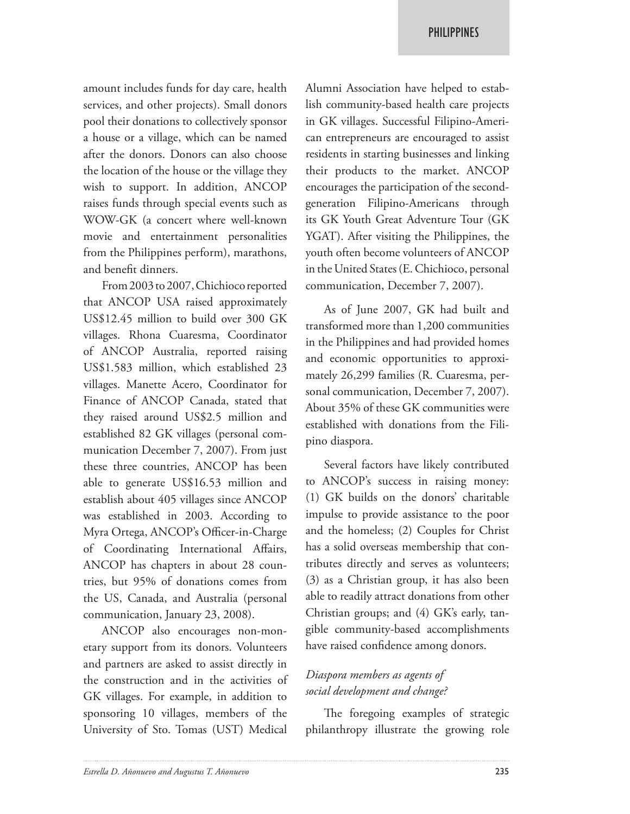amount includes funds for day care, health services, and other projects). Small donors pool their donations to collectively sponsor a house or a village, which can be named after the donors. Donors can also choose the location of the house or the village they wish to support. In addition, ANCOP raises funds through special events such as WOW-GK (a concert where well-known movie and entertainment personalities from the Philippines perform), marathons, and benefit dinners.

From 2003 to 2007, Chichioco reported that ANCOP USA raised approximately US\$12.45 million to build over 300 GK villages. Rhona Cuaresma, Coordinator of ANCOP Australia, reported raising US\$1.583 million, which established 23 villages. Manette Acero, Coordinator for Finance of ANCOP Canada, stated that they raised around US\$2.5 million and established 82 GK villages (personal communication December 7, 2007). From just these three countries, ANCOP has been able to generate US\$16.53 million and establish about 405 villages since ANCOP was established in 2003. According to Myra Ortega, ANCOP's Officer-in-Charge of Coordinating International Affairs, ANCOP has chapters in about 28 countries, but 95% of donations comes from the US, Canada, and Australia (personal communication, January 23, 2008).

ANCOP also encourages non-monetary support from its donors. Volunteers and partners are asked to assist directly in the construction and in the activities of GK villages. For example, in addition to sponsoring 10 villages, members of the University of Sto. Tomas (UST) Medical

Alumni Association have helped to establish community-based health care projects in GK villages. Successful Filipino-American entrepreneurs are encouraged to assist residents in starting businesses and linking their products to the market. ANCOP encourages the participation of the secondgeneration Filipino-Americans through its GK Youth Great Adventure Tour (GK YGAT). After visiting the Philippines, the youth often become volunteers of ANCOP in the United States (E. Chichioco, personal communication, December 7, 2007).

As of June 2007, GK had built and transformed more than 1,200 communities in the Philippines and had provided homes and economic opportunities to approximately 26,299 families (R. Cuaresma, personal communication, December 7, 2007). About 35% of these GK communities were established with donations from the Filipino diaspora.

Several factors have likely contributed to ANCOP's success in raising money: (1) GK builds on the donors' charitable impulse to provide assistance to the poor and the homeless; (2) Couples for Christ has a solid overseas membership that contributes directly and serves as volunteers; (3) as a Christian group, it has also been able to readily attract donations from other Christian groups; and (4) GK's early, tangible community-based accomplishments have raised confidence among donors.

#### *Diaspora members as agents of social development and change?*

The foregoing examples of strategic philanthropy illustrate the growing role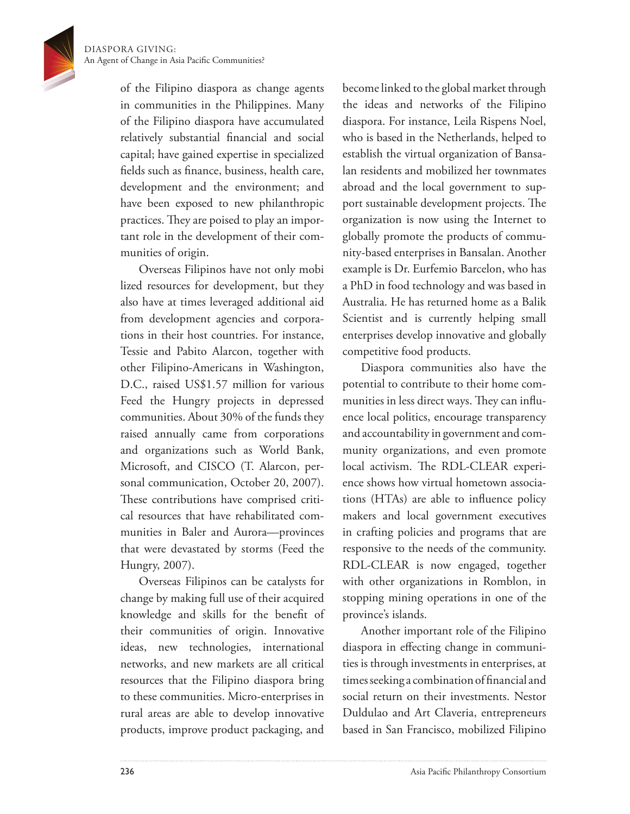Diaspora Giving: An Agent of Change in Asia Pacific Communities?

> of the Filipino diaspora as change agents in communities in the Philippines. Many of the Filipino diaspora have accumulated relatively substantial financial and social capital; have gained expertise in specialized fields such as finance, business, health care, development and the environment; and have been exposed to new philanthropic practices. They are poised to play an important role in the development of their communities of origin.

> Overseas Filipinos have not only mobi lized resources for development, but they also have at times leveraged additional aid from development agencies and corporations in their host countries. For instance, Tessie and Pabito Alarcon, together with other Filipino-Americans in Washington, D.C., raised US\$1.57 million for various Feed the Hungry projects in depressed communities. About 30% of the funds they raised annually came from corporations and organizations such as World Bank, Microsoft, and CISCO (T. Alarcon, personal communication, October 20, 2007). These contributions have comprised critical resources that have rehabilitated communities in Baler and Aurora—provinces that were devastated by storms (Feed the Hungry, 2007).

> Overseas Filipinos can be catalysts for change by making full use of their acquired knowledge and skills for the benefit of their communities of origin. Innovative ideas, new technologies, international networks, and new markets are all critical resources that the Filipino diaspora bring to these communities. Micro-enterprises in rural areas are able to develop innovative products, improve product packaging, and

become linked to the global market through the ideas and networks of the Filipino diaspora. For instance, Leila Rispens Noel, who is based in the Netherlands, helped to establish the virtual organization of Bansalan residents and mobilized her townmates abroad and the local government to support sustainable development projects. The organization is now using the Internet to globally promote the products of community-based enterprises in Bansalan. Another example is Dr. Eurfemio Barcelon, who has a PhD in food technology and was based in Australia. He has returned home as a Balik Scientist and is currently helping small enterprises develop innovative and globally competitive food products.

Diaspora communities also have the potential to contribute to their home communities in less direct ways. They can influence local politics, encourage transparency and accountability in government and community organizations, and even promote local activism. The RDL-CLEAR experience shows how virtual hometown associations (HTAs) are able to influence policy makers and local government executives in crafting policies and programs that are responsive to the needs of the community. RDL-CLEAR is now engaged, together with other organizations in Romblon, in stopping mining operations in one of the province's islands.

Another important role of the Filipino diaspora in effecting change in communities is through investments in enterprises, at times seeking a combination of financial and social return on their investments. Nestor Duldulao and Art Claveria, entrepreneurs based in San Francisco, mobilized Filipino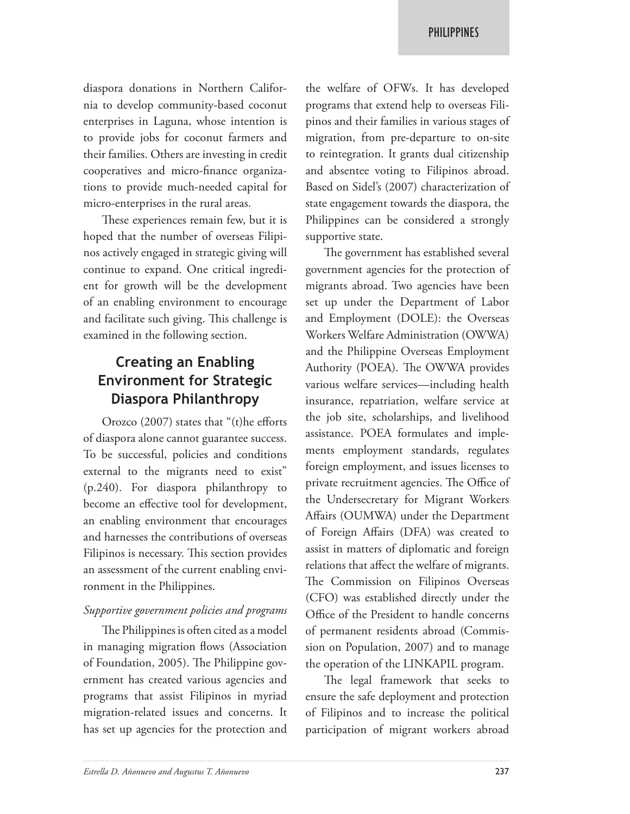diaspora donations in Northern California to develop community-based coconut enterprises in Laguna, whose intention is to provide jobs for coconut farmers and their families. Others are investing in credit cooperatives and micro-finance organizations to provide much-needed capital for micro-enterprises in the rural areas.

These experiences remain few, but it is hoped that the number of overseas Filipinos actively engaged in strategic giving will continue to expand. One critical ingredient for growth will be the development of an enabling environment to encourage and facilitate such giving. This challenge is examined in the following section.

# **Creating an Enabling Environment for Strategic Diaspora Philanthropy**

Orozco (2007) states that "(t)he efforts of diaspora alone cannot guarantee success. To be successful, policies and conditions external to the migrants need to exist" (p.240). For diaspora philanthropy to become an effective tool for development, an enabling environment that encourages and harnesses the contributions of overseas Filipinos is necessary. This section provides an assessment of the current enabling environment in the Philippines.

#### *Supportive government policies and programs*

The Philippines is often cited as a model in managing migration flows (Association of Foundation, 2005). The Philippine government has created various agencies and programs that assist Filipinos in myriad migration-related issues and concerns. It has set up agencies for the protection and

the welfare of OFWs. It has developed programs that extend help to overseas Filipinos and their families in various stages of migration, from pre-departure to on-site to reintegration. It grants dual citizenship and absentee voting to Filipinos abroad. Based on Sidel's (2007) characterization of state engagement towards the diaspora, the Philippines can be considered a strongly supportive state.

The government has established several government agencies for the protection of migrants abroad. Two agencies have been set up under the Department of Labor and Employment (DOLE): the Overseas Workers Welfare Administration (OWWA) and the Philippine Overseas Employment Authority (POEA). The OWWA provides various welfare services—including health insurance, repatriation, welfare service at the job site, scholarships, and livelihood assistance. POEA formulates and implements employment standards, regulates foreign employment, and issues licenses to private recruitment agencies. The Office of the Undersecretary for Migrant Workers Affairs (OUMWA) under the Department of Foreign Affairs (DFA) was created to assist in matters of diplomatic and foreign relations that affect the welfare of migrants. The Commission on Filipinos Overseas (CFO) was established directly under the Office of the President to handle concerns of permanent residents abroad (Commission on Population, 2007) and to manage the operation of the LINKAPIL program.

The legal framework that seeks to ensure the safe deployment and protection of Filipinos and to increase the political participation of migrant workers abroad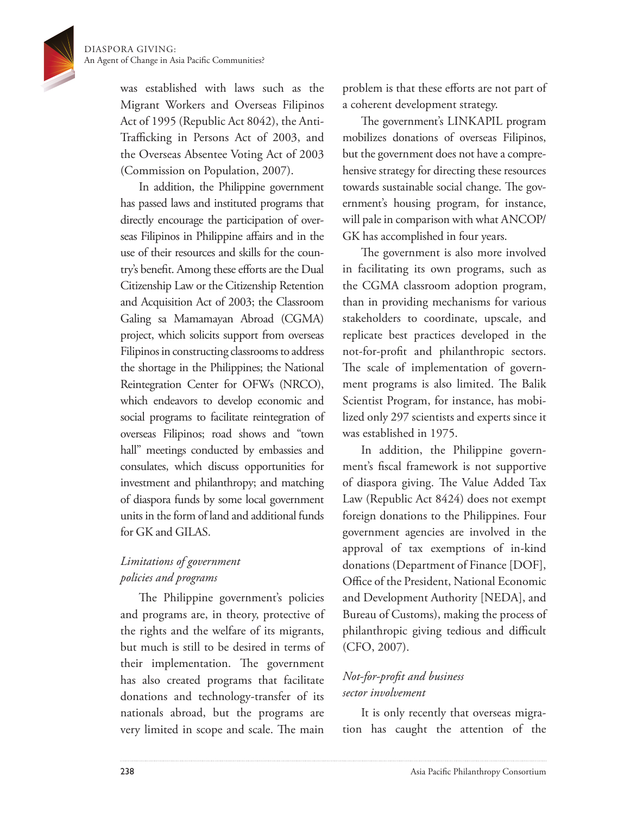was established with laws such as the Migrant Workers and Overseas Filipinos Act of 1995 (Republic Act 8042), the Anti-Trafficking in Persons Act of 2003, and the Overseas Absentee Voting Act of 2003 (Commission on Population, 2007).

In addition, the Philippine government has passed laws and instituted programs that directly encourage the participation of overseas Filipinos in Philippine affairs and in the use of their resources and skills for the country's benefit. Among these efforts are the Dual Citizenship Law or the Citizenship Retention and Acquisition Act of 2003; the Classroom Galing sa Mamamayan Abroad (CGMA) project, which solicits support from overseas Filipinos in constructing classrooms to address the shortage in the Philippines; the National Reintegration Center for OFWs (NRCO), which endeavors to develop economic and social programs to facilitate reintegration of overseas Filipinos; road shows and "town hall" meetings conducted by embassies and consulates, which discuss opportunities for investment and philanthropy; and matching of diaspora funds by some local government units in the form of land and additional funds for GK and GILAS.

## *Limitations of government policies and programs*

The Philippine government's policies and programs are, in theory, protective of the rights and the welfare of its migrants, but much is still to be desired in terms of their implementation. The government has also created programs that facilitate donations and technology-transfer of its nationals abroad, but the programs are very limited in scope and scale. The main

problem is that these efforts are not part of a coherent development strategy.

The government's LINKAPIL program mobilizes donations of overseas Filipinos, but the government does not have a comprehensive strategy for directing these resources towards sustainable social change. The government's housing program, for instance, will pale in comparison with what ANCOP/ GK has accomplished in four years.

The government is also more involved in facilitating its own programs, such as the CGMA classroom adoption program, than in providing mechanisms for various stakeholders to coordinate, upscale, and replicate best practices developed in the not-for-profit and philanthropic sectors. The scale of implementation of government programs is also limited. The Balik Scientist Program, for instance, has mobilized only 297 scientists and experts since it was established in 1975.

In addition, the Philippine government's fiscal framework is not supportive of diaspora giving. The Value Added Tax Law (Republic Act 8424) does not exempt foreign donations to the Philippines. Four government agencies are involved in the approval of tax exemptions of in-kind donations (Department of Finance [DOF], Office of the President, National Economic and Development Authority [NEDA], and Bureau of Customs), making the process of philanthropic giving tedious and difficult (CFO, 2007).

## *Not-for-profit and business sector involvement*

It is only recently that overseas migration has caught the attention of the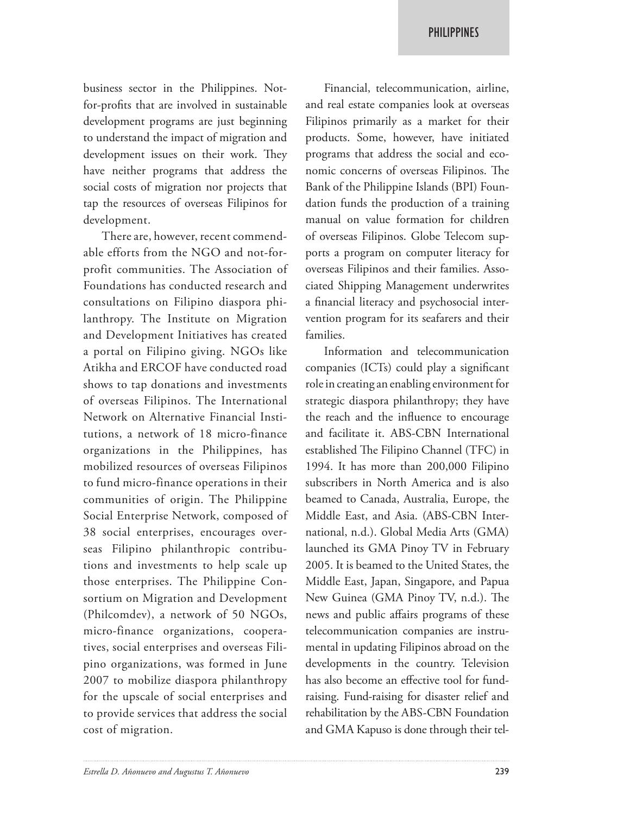business sector in the Philippines. Notfor-profits that are involved in sustainable development programs are just beginning to understand the impact of migration and development issues on their work. They have neither programs that address the social costs of migration nor projects that tap the resources of overseas Filipinos for development.

There are, however, recent commendable efforts from the NGO and not-forprofit communities. The Association of Foundations has conducted research and consultations on Filipino diaspora philanthropy. The Institute on Migration and Development Initiatives has created a portal on Filipino giving. NGOs like Atikha and ERCOF have conducted road shows to tap donations and investments of overseas Filipinos. The International Network on Alternative Financial Institutions, a network of 18 micro-finance organizations in the Philippines, has mobilized resources of overseas Filipinos to fund micro-finance operations in their communities of origin. The Philippine Social Enterprise Network, composed of 38 social enterprises, encourages overseas Filipino philanthropic contributions and investments to help scale up those enterprises. The Philippine Consortium on Migration and Development (Philcomdev), a network of 50 NGOs, micro-finance organizations, cooperatives, social enterprises and overseas Filipino organizations, was formed in June 2007 to mobilize diaspora philanthropy for the upscale of social enterprises and to provide services that address the social cost of migration.

Financial, telecommunication, airline, and real estate companies look at overseas Filipinos primarily as a market for their products. Some, however, have initiated programs that address the social and economic concerns of overseas Filipinos. The Bank of the Philippine Islands (BPI) Foundation funds the production of a training manual on value formation for children of overseas Filipinos. Globe Telecom supports a program on computer literacy for overseas Filipinos and their families. Associated Shipping Management underwrites a financial literacy and psychosocial intervention program for its seafarers and their families.

Information and telecommunication companies (ICTs) could play a significant role in creating an enabling environment for strategic diaspora philanthropy; they have the reach and the influence to encourage and facilitate it. ABS-CBN International established The Filipino Channel (TFC) in 1994. It has more than 200,000 Filipino subscribers in North America and is also beamed to Canada, Australia, Europe, the Middle East, and Asia. (ABS-CBN International, n.d.). Global Media Arts (GMA) launched its GMA Pinoy TV in February 2005. It is beamed to the United States, the Middle East, Japan, Singapore, and Papua New Guinea (GMA Pinoy TV, n.d.). The news and public affairs programs of these telecommunication companies are instrumental in updating Filipinos abroad on the developments in the country. Television has also become an effective tool for fundraising. Fund-raising for disaster relief and rehabilitation by the ABS-CBN Foundation and GMA Kapuso is done through their tel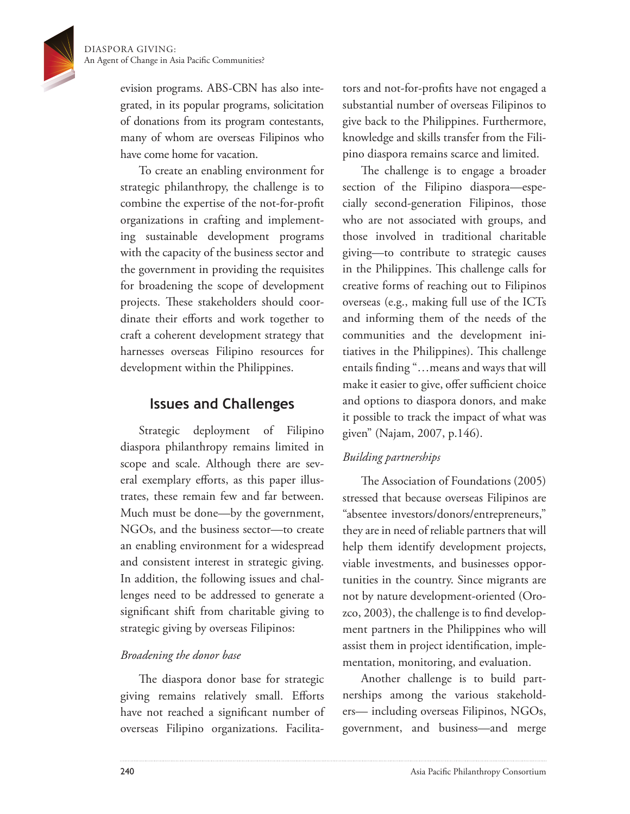evision programs. ABS-CBN has also integrated, in its popular programs, solicitation of donations from its program contestants, many of whom are overseas Filipinos who have come home for vacation.

To create an enabling environment for strategic philanthropy, the challenge is to combine the expertise of the not-for-profit organizations in crafting and implementing sustainable development programs with the capacity of the business sector and the government in providing the requisites for broadening the scope of development projects. These stakeholders should coordinate their efforts and work together to craft a coherent development strategy that harnesses overseas Filipino resources for development within the Philippines.

## **Issues and Challenges**

Strategic deployment of Filipino diaspora philanthropy remains limited in scope and scale. Although there are several exemplary efforts, as this paper illustrates, these remain few and far between. Much must be done—by the government, NGOs, and the business sector—to create an enabling environment for a widespread and consistent interest in strategic giving. In addition, the following issues and challenges need to be addressed to generate a significant shift from charitable giving to strategic giving by overseas Filipinos:

## *Broadening the donor base*

The diaspora donor base for strategic giving remains relatively small. Efforts have not reached a significant number of overseas Filipino organizations. Facilita-

tors and not-for-profits have not engaged a substantial number of overseas Filipinos to give back to the Philippines. Furthermore, knowledge and skills transfer from the Filipino diaspora remains scarce and limited.

The challenge is to engage a broader section of the Filipino diaspora—especially second-generation Filipinos, those who are not associated with groups, and those involved in traditional charitable giving—to contribute to strategic causes in the Philippines. This challenge calls for creative forms of reaching out to Filipinos overseas (e.g., making full use of the ICTs and informing them of the needs of the communities and the development initiatives in the Philippines). This challenge entails finding "…means and ways that will make it easier to give, offer sufficient choice and options to diaspora donors, and make it possible to track the impact of what was given" (Najam, 2007, p.146).

## *Building partnerships*

The Association of Foundations (2005) stressed that because overseas Filipinos are "absentee investors/donors/entrepreneurs," they are in need of reliable partners that will help them identify development projects, viable investments, and businesses opportunities in the country. Since migrants are not by nature development-oriented (Orozco, 2003), the challenge is to find development partners in the Philippines who will assist them in project identification, implementation, monitoring, and evaluation.

Another challenge is to build partnerships among the various stakeholders— including overseas Filipinos, NGOs, government, and business—and merge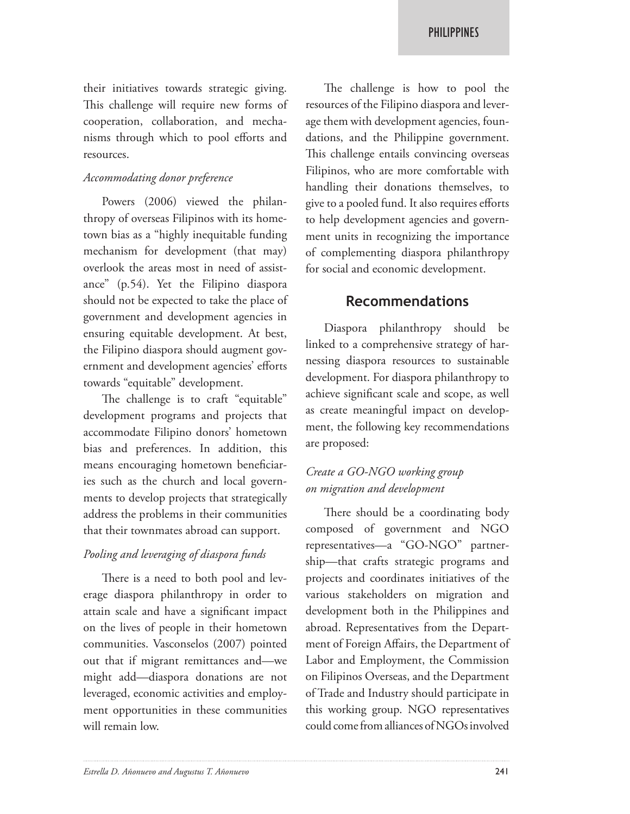their initiatives towards strategic giving. This challenge will require new forms of cooperation, collaboration, and mechanisms through which to pool efforts and resources.

#### *Accommodating donor preference*

Powers (2006) viewed the philanthropy of overseas Filipinos with its hometown bias as a "highly inequitable funding mechanism for development (that may) overlook the areas most in need of assistance" (p.54). Yet the Filipino diaspora should not be expected to take the place of government and development agencies in ensuring equitable development. At best, the Filipino diaspora should augment government and development agencies' efforts towards "equitable" development.

The challenge is to craft "equitable" development programs and projects that accommodate Filipino donors' hometown bias and preferences. In addition, this means encouraging hometown beneficiaries such as the church and local governments to develop projects that strategically address the problems in their communities that their townmates abroad can support.

#### *Pooling and leveraging of diaspora funds*

There is a need to both pool and leverage diaspora philanthropy in order to attain scale and have a significant impact on the lives of people in their hometown communities. Vasconselos (2007) pointed out that if migrant remittances and—we might add—diaspora donations are not leveraged, economic activities and employment opportunities in these communities will remain low.

The challenge is how to pool the resources of the Filipino diaspora and leverage them with development agencies, foundations, and the Philippine government. This challenge entails convincing overseas Filipinos, who are more comfortable with handling their donations themselves, to give to a pooled fund. It also requires efforts to help development agencies and government units in recognizing the importance of complementing diaspora philanthropy for social and economic development.

## **Recommendations**

Diaspora philanthropy should be linked to a comprehensive strategy of harnessing diaspora resources to sustainable development. For diaspora philanthropy to achieve significant scale and scope, as well as create meaningful impact on development, the following key recommendations are proposed:

## *Create a GO-NGO working group on migration and development*

There should be a coordinating body composed of government and NGO representatives—a "GO-NGO" partnership—that crafts strategic programs and projects and coordinates initiatives of the various stakeholders on migration and development both in the Philippines and abroad. Representatives from the Department of Foreign Affairs, the Department of Labor and Employment, the Commission on Filipinos Overseas, and the Department of Trade and Industry should participate in this working group. NGO representatives could come from alliances of NGOs involved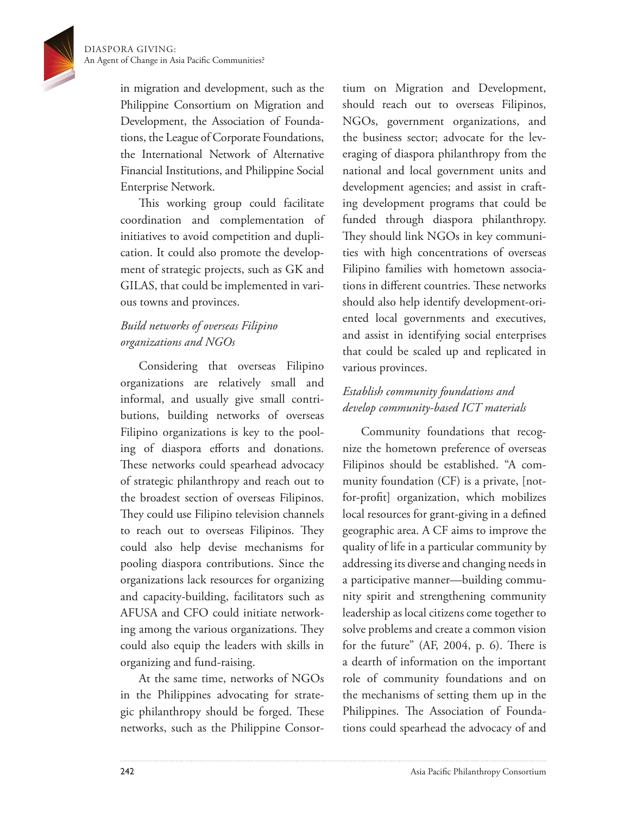in migration and development, such as the Philippine Consortium on Migration and Development, the Association of Foundations, the League of Corporate Foundations, the International Network of Alternative Financial Institutions, and Philippine Social Enterprise Network.

This working group could facilitate coordination and complementation of initiatives to avoid competition and duplication. It could also promote the development of strategic projects, such as GK and GILAS, that could be implemented in various towns and provinces.

## *Build networks of overseas Filipino organizations and NGOs*

Considering that overseas Filipino organizations are relatively small and informal, and usually give small contributions, building networks of overseas Filipino organizations is key to the pooling of diaspora efforts and donations. These networks could spearhead advocacy of strategic philanthropy and reach out to the broadest section of overseas Filipinos. They could use Filipino television channels to reach out to overseas Filipinos. They could also help devise mechanisms for pooling diaspora contributions. Since the organizations lack resources for organizing and capacity-building, facilitators such as AFUSA and CFO could initiate networking among the various organizations. They could also equip the leaders with skills in organizing and fund-raising.

At the same time, networks of NGOs in the Philippines advocating for strategic philanthropy should be forged. These networks, such as the Philippine Consortium on Migration and Development, should reach out to overseas Filipinos, NGOs, government organizations, and the business sector; advocate for the leveraging of diaspora philanthropy from the national and local government units and development agencies; and assist in crafting development programs that could be funded through diaspora philanthropy. They should link NGOs in key communities with high concentrations of overseas Filipino families with hometown associations in different countries. These networks should also help identify development-oriented local governments and executives, and assist in identifying social enterprises that could be scaled up and replicated in various provinces.

## *Establish community foundations and develop community-based ICT materials*

Community foundations that recognize the hometown preference of overseas Filipinos should be established. "A community foundation (CF) is a private, [notfor-profit] organization, which mobilizes local resources for grant-giving in a defined geographic area. A CF aims to improve the quality of life in a particular community by addressing its diverse and changing needs in a participative manner—building community spirit and strengthening community leadership as local citizens come together to solve problems and create a common vision for the future" (AF, 2004, p. 6). There is a dearth of information on the important role of community foundations and on the mechanisms of setting them up in the Philippines. The Association of Foundations could spearhead the advocacy of and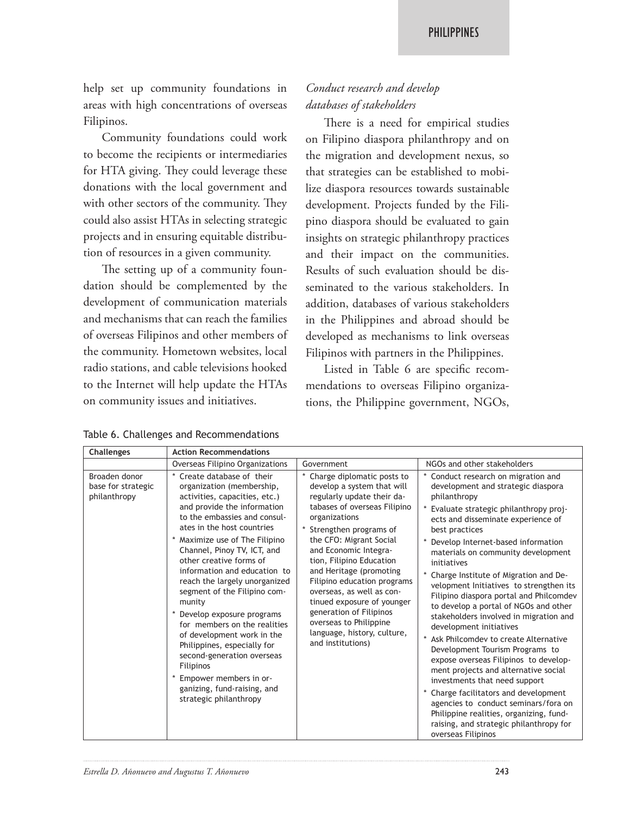help set up community foundations in areas with high concentrations of overseas Filipinos.

Community foundations could work to become the recipients or intermediaries for HTA giving. They could leverage these donations with the local government and with other sectors of the community. They could also assist HTAs in selecting strategic projects and in ensuring equitable distribution of resources in a given community.

The setting up of a community foundation should be complemented by the development of communication materials and mechanisms that can reach the families of overseas Filipinos and other members of the community. Hometown websites, local radio stations, and cable televisions hooked to the Internet will help update the HTAs on community issues and initiatives.

## *Conduct research and develop databases of stakeholders*

There is a need for empirical studies on Filipino diaspora philanthropy and on the migration and development nexus, so that strategies can be established to mobilize diaspora resources towards sustainable development. Projects funded by the Filipino diaspora should be evaluated to gain insights on strategic philanthropy practices and their impact on the communities. Results of such evaluation should be disseminated to the various stakeholders. In addition, databases of various stakeholders in the Philippines and abroad should be developed as mechanisms to link overseas Filipinos with partners in the Philippines.

Listed in Table 6 are specific recommendations to overseas Filipino organizations, the Philippine government, NGOs,

|  |  |  | Table 6. Challenges and Recommendations |
|--|--|--|-----------------------------------------|
|--|--|--|-----------------------------------------|

| <b>Challenges</b>                                   | <b>Action Recommendations</b>                                                                                                                                                                                                                                                                                                                                                                                                                                                                                                                                                                                                                         |                                                                                                                                                                                                                                                                                                                                                                                                                                                                                     |                                                                                                                                                                                                                                                                                                                                                                                                                                                                                                                                                                                                                                                                                                                                                                                                                                                                                                                              |
|-----------------------------------------------------|-------------------------------------------------------------------------------------------------------------------------------------------------------------------------------------------------------------------------------------------------------------------------------------------------------------------------------------------------------------------------------------------------------------------------------------------------------------------------------------------------------------------------------------------------------------------------------------------------------------------------------------------------------|-------------------------------------------------------------------------------------------------------------------------------------------------------------------------------------------------------------------------------------------------------------------------------------------------------------------------------------------------------------------------------------------------------------------------------------------------------------------------------------|------------------------------------------------------------------------------------------------------------------------------------------------------------------------------------------------------------------------------------------------------------------------------------------------------------------------------------------------------------------------------------------------------------------------------------------------------------------------------------------------------------------------------------------------------------------------------------------------------------------------------------------------------------------------------------------------------------------------------------------------------------------------------------------------------------------------------------------------------------------------------------------------------------------------------|
|                                                     | Overseas Filipino Organizations                                                                                                                                                                                                                                                                                                                                                                                                                                                                                                                                                                                                                       | Government                                                                                                                                                                                                                                                                                                                                                                                                                                                                          | NGOs and other stakeholders                                                                                                                                                                                                                                                                                                                                                                                                                                                                                                                                                                                                                                                                                                                                                                                                                                                                                                  |
| Broaden donor<br>base for strategic<br>philanthropy | Create database of their<br>organization (membership,<br>activities, capacities, etc.)<br>and provide the information<br>to the embassies and consul-<br>ates in the host countries<br>Maximize use of The Filipino<br>Channel, Pinoy TV, ICT, and<br>other creative forms of<br>information and education to<br>reach the largely unorganized<br>segment of the Filipino com-<br>munity<br>*<br>Develop exposure programs<br>for members on the realities<br>of development work in the<br>Philippines, especially for<br>second-generation overseas<br>Filipinos<br>Empower members in or-<br>ganizing, fund-raising, and<br>strategic philanthropy | * Charge diplomatic posts to<br>develop a system that will<br>regularly update their da-<br>tabases of overseas Filipino<br>organizations<br>* Strengthen programs of<br>the CFO: Migrant Social<br>and Economic Integra-<br>tion, Filipino Education<br>and Heritage (promoting<br>Filipino education programs<br>overseas, as well as con-<br>tinued exposure of younger<br>generation of Filipinos<br>overseas to Philippine<br>language, history, culture,<br>and institutions) | Conduct research on migration and<br>development and strategic diaspora<br>philanthropy<br>Evaluate strategic philanthropy proj-<br>ects and disseminate experience of<br>best practices<br>Develop Internet-based information<br>materials on community development<br>initiatives<br>* Charge Institute of Migration and De-<br>velopment Initiatives to strengthen its<br>Filipino diaspora portal and Philcomdev<br>to develop a portal of NGOs and other<br>stakeholders involved in migration and<br>development initiatives<br>Ask Philcomdev to create Alternative<br>Development Tourism Programs to<br>expose overseas Filipinos to develop-<br>ment projects and alternative social<br>investments that need support<br>* Charge facilitators and development<br>agencies to conduct seminars/fora on<br>Philippine realities, organizing, fund-<br>raising, and strategic philanthropy for<br>overseas Filipinos |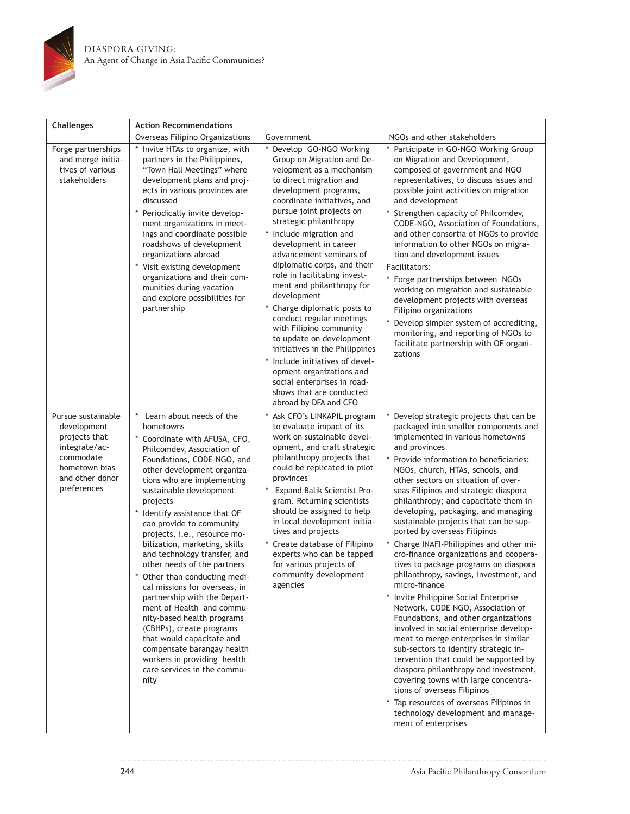

Diaspora Giving: An Agent of Change in Asia Pacific Communities?

| Challenges                                                                                                                          | <b>Action Recommendations</b>                                                                                                                                                                                                                                                                                                                                                                                                                                                                                                                                                                                                                                                                                                                                     |                                                                                                                                                                                                                                                                                                                                                                                                                                                                                                                                                                                                                                                                                                                                |                                                                                                                                                                                                                                                                                                                                                                                                                                                                                                                                                                                                                                                                                                                                                                                                                                                                                                                                                                                                                                                                                                                                                                         |  |
|-------------------------------------------------------------------------------------------------------------------------------------|-------------------------------------------------------------------------------------------------------------------------------------------------------------------------------------------------------------------------------------------------------------------------------------------------------------------------------------------------------------------------------------------------------------------------------------------------------------------------------------------------------------------------------------------------------------------------------------------------------------------------------------------------------------------------------------------------------------------------------------------------------------------|--------------------------------------------------------------------------------------------------------------------------------------------------------------------------------------------------------------------------------------------------------------------------------------------------------------------------------------------------------------------------------------------------------------------------------------------------------------------------------------------------------------------------------------------------------------------------------------------------------------------------------------------------------------------------------------------------------------------------------|-------------------------------------------------------------------------------------------------------------------------------------------------------------------------------------------------------------------------------------------------------------------------------------------------------------------------------------------------------------------------------------------------------------------------------------------------------------------------------------------------------------------------------------------------------------------------------------------------------------------------------------------------------------------------------------------------------------------------------------------------------------------------------------------------------------------------------------------------------------------------------------------------------------------------------------------------------------------------------------------------------------------------------------------------------------------------------------------------------------------------------------------------------------------------|--|
|                                                                                                                                     | Overseas Filipino Organizations                                                                                                                                                                                                                                                                                                                                                                                                                                                                                                                                                                                                                                                                                                                                   | Government                                                                                                                                                                                                                                                                                                                                                                                                                                                                                                                                                                                                                                                                                                                     | NGOs and other stakeholders                                                                                                                                                                                                                                                                                                                                                                                                                                                                                                                                                                                                                                                                                                                                                                                                                                                                                                                                                                                                                                                                                                                                             |  |
| Forge partnerships<br>and merge initia-<br>tives of various<br>stakeholders                                                         | Invite HTAs to organize, with<br>partners in the Philippines,<br>"Town Hall Meetings" where<br>development plans and proj-<br>ects in various provinces are<br>discussed<br>Periodically invite develop-<br>ment organizations in meet-<br>ings and coordinate possible<br>roadshows of development<br>organizations abroad<br>* Visit existing development<br>organizations and their com-<br>munities during vacation<br>and explore possibilities for<br>partnership                                                                                                                                                                                                                                                                                           | * Develop GO-NGO Working<br>Group on Migration and De-<br>velopment as a mechanism<br>to direct migration and<br>development programs,<br>coordinate initiatives, and<br>pursue joint projects on<br>strategic philanthropy<br>* Include migration and<br>development in career<br>advancement seminars of<br>diplomatic corps, and their<br>role in facilitating invest-<br>ment and philanthropy for<br>development<br>Charge diplomatic posts to<br>*<br>conduct regular meetings<br>with Filipino community<br>to update on development<br>initiatives in the Philippines<br>Include initiatives of devel-<br>opment organizations and<br>social enterprises in road-<br>shows that are conducted<br>abroad by DFA and CFO | Participate in GO-NGO Working Group<br>on Migration and Development,<br>composed of government and NGO<br>representatives, to discuss issues and<br>possible joint activities on migration<br>and development<br>* Strengthen capacity of Philcomdev,<br>CODE-NGO, Association of Foundations,<br>and other consortia of NGOs to provide<br>information to other NGOs on migra-<br>tion and development issues<br>Facilitators:<br>* Forge partnerships between NGOs<br>working on migration and sustainable<br>development projects with overseas<br>Filipino organizations<br>Develop simpler system of accrediting,<br>monitoring, and reporting of NGOs to<br>facilitate partnership with OF organi-<br>zations                                                                                                                                                                                                                                                                                                                                                                                                                                                     |  |
| Pursue sustainable<br>development<br>projects that<br>integrate/ac-<br>commodate<br>hometown bias<br>and other donor<br>preferences | $\ast$<br>Learn about needs of the<br>hometowns<br>Coordinate with AFUSA, CFO,<br>Philcomdev, Association of<br>Foundations, CODE-NGO, and<br>other development organiza-<br>tions who are implementing<br>sustainable development<br>projects<br>Identify assistance that OF<br>can provide to community<br>projects, i.e., resource mo-<br>bilization, marketing, skills<br>and technology transfer, and<br>other needs of the partners<br>Other than conducting medi-<br>cal missions for overseas, in<br>partnership with the Depart-<br>ment of Health and commu-<br>nity-based health programs<br>(CBHPs), create programs<br>that would capacitate and<br>compensate barangay health<br>workers in providing health<br>care services in the commu-<br>nity | * Ask CFO's LINKAPIL program<br>to evaluate impact of its<br>work on sustainable devel-<br>opment, and craft strategic<br>philanthropy projects that<br>could be replicated in pilot<br>provinces<br>Expand Balik Scientist Pro-<br>gram. Returning scientists<br>should be assigned to help<br>in local development initia-<br>tives and projects<br>* Create database of Filipino<br>experts who can be tapped<br>for various projects of<br>community development<br>agencies                                                                                                                                                                                                                                               | * Develop strategic projects that can be<br>packaged into smaller components and<br>implemented in various hometowns<br>and provinces<br>* Provide information to beneficiaries:<br>NGOs, church, HTAs, schools, and<br>other sectors on situation of over-<br>seas Filipinos and strategic diaspora<br>philanthropy; and capacitate them in<br>developing, packaging, and managing<br>sustainable projects that can be sup-<br>ported by overseas Filipinos<br>Charge INAFI-Philippines and other mi-<br>cro-finance organizations and coopera-<br>tives to package programs on diaspora<br>philanthropy, savings, investment, and<br>micro-finance<br>* Invite Philippine Social Enterprise<br>Network, CODE NGO, Association of<br>Foundations, and other organizations<br>involved in social enterprise develop-<br>ment to merge enterprises in similar<br>sub-sectors to identify strategic in-<br>tervention that could be supported by<br>diaspora philanthropy and investment,<br>covering towns with large concentra-<br>tions of overseas Filipinos<br>* Tap resources of overseas Filipinos in<br>technology development and manage-<br>ment of enterprises |  |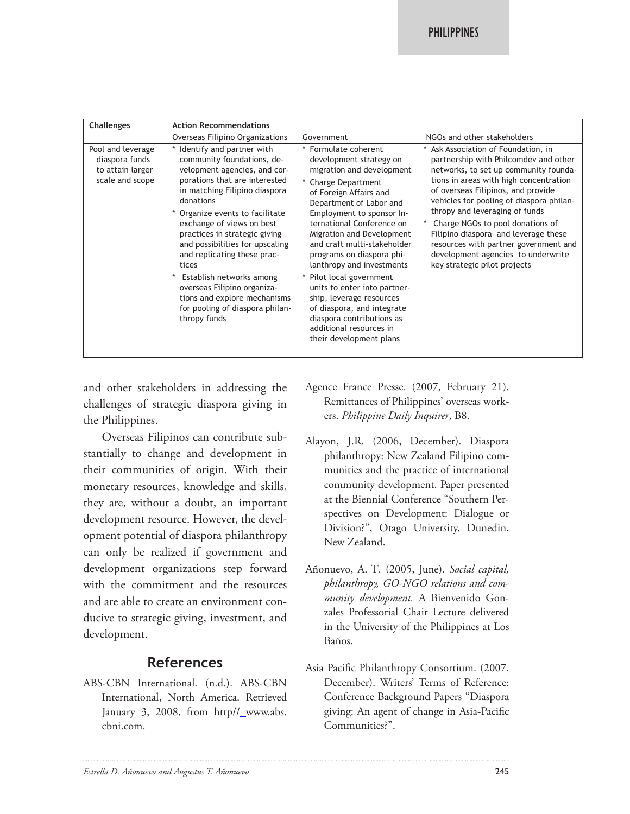| <b>Challenges</b>                                                          | <b>Action Recommendations</b>                                                                                                                                                                                                                                                                                                                                                                                                                                                                  |                                                                                                                                                                                                                                                                                                                                                                                                                                                                                                                                                 |                                                                                                                                                                                                                                                                                                                                                                                                                                                                              |
|----------------------------------------------------------------------------|------------------------------------------------------------------------------------------------------------------------------------------------------------------------------------------------------------------------------------------------------------------------------------------------------------------------------------------------------------------------------------------------------------------------------------------------------------------------------------------------|-------------------------------------------------------------------------------------------------------------------------------------------------------------------------------------------------------------------------------------------------------------------------------------------------------------------------------------------------------------------------------------------------------------------------------------------------------------------------------------------------------------------------------------------------|------------------------------------------------------------------------------------------------------------------------------------------------------------------------------------------------------------------------------------------------------------------------------------------------------------------------------------------------------------------------------------------------------------------------------------------------------------------------------|
|                                                                            | Overseas Filipino Organizations                                                                                                                                                                                                                                                                                                                                                                                                                                                                | Government                                                                                                                                                                                                                                                                                                                                                                                                                                                                                                                                      | NGOs and other stakeholders                                                                                                                                                                                                                                                                                                                                                                                                                                                  |
| Pool and leverage<br>diaspora funds<br>to attain larger<br>scale and scope | Identify and partner with<br>community foundations, de-<br>velopment agencies, and cor-<br>porations that are interested<br>in matching Filipino diaspora<br>donations<br>Organize events to facilitate<br>exchange of views on best<br>practices in strategic giving<br>and possibilities for upscaling<br>and replicating these prac-<br>tices<br>Establish networks among<br>overseas Filipino organiza-<br>tions and explore mechanisms<br>for pooling of diaspora philan-<br>thropy funds | * Formulate coherent<br>development strategy on<br>migration and development<br>* Charge Department<br>of Foreign Affairs and<br>Department of Labor and<br>Employment to sponsor In-<br>ternational Conference on<br>Migration and Development<br>and craft multi-stakeholder<br>programs on diaspora phi-<br>lanthropy and investments<br>Pilot local government<br>units to enter into partner-<br>ship, leverage resources<br>of diaspora, and integrate<br>diaspora contributions as<br>additional resources in<br>their development plans | Ask Association of Foundation, in<br>partnership with Philcomdev and other<br>networks, to set up community founda-<br>tions in areas with high concentration<br>of overseas Filipinos, and provide<br>vehicles for pooling of diaspora philan-<br>thropy and leveraging of funds<br>Charge NGOs to pool donations of<br>Filipino diaspora and leverage these<br>resources with partner government and<br>development agencies to underwrite<br>key strategic pilot projects |

and other stakeholders in addressing the challenges of strategic diaspora giving in the Philippines.

Overseas Filipinos can contribute substantially to change and development in their communities of origin. With their monetary resources, knowledge and skills, they are, without a doubt, an important development resource. However, the development potential of diaspora philanthropy can only be realized if government and development organizations step forward with the commitment and the resources and are able to create an environment conducive to strategic giving, investment, and development.

#### **References**

ABS-CBN International. (n.d.). ABS-CBN International, North America. Retrieved January 3, 2008, from http//\_www.abs. cbni.com.

- Agence France Presse. (2007, February 21). Remittances of Philippines' overseas workers. *Philippine Daily Inquirer*, B8.
- Alayon, J.R. (2006, December). Diaspora philanthropy: New Zealand Filipino communities and the practice of international community development. Paper presented at the Biennial Conference "Southern Perspectives on Development: Dialogue or Division?", Otago University, Dunedin, New Zealand.
- Añonuevo, A. T*.* (2005, June). *Social capital, philanthropy, GO-NGO relations and community development.* A Bienvenido Gonzales Professorial Chair Lecture delivered in the University of the Philippines at Los Baños.
- Asia Pacific Philanthropy Consortium. (2007, December). Writers' Terms of Reference: Conference Background Papers "Diaspora giving: An agent of change in Asia-Pacific Communities?".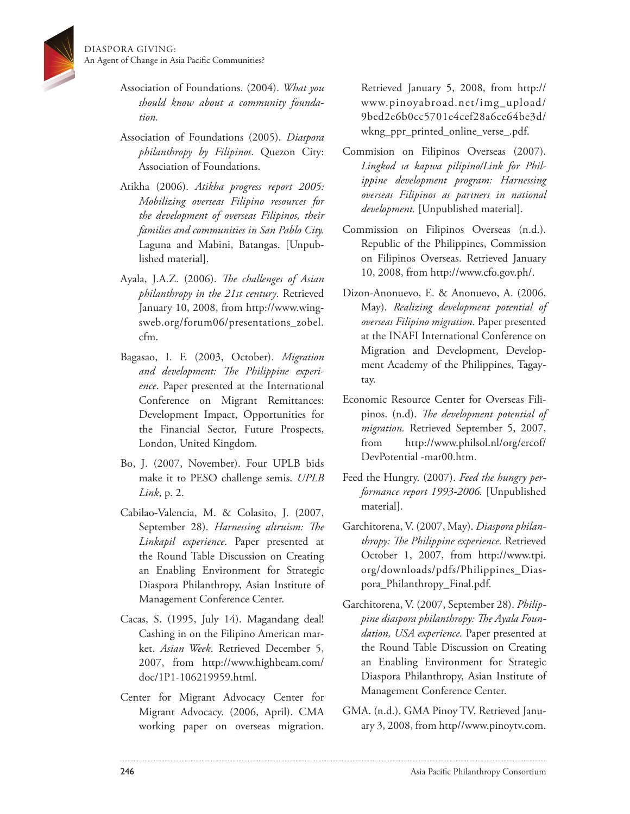

- Association of Foundations. (2004). *What you should know about a community foundation.*
- Association of Foundations (2005). *Diaspora philanthropy by Filipinos*. Quezon City: Association of Foundations.
- Atikha (2006). *Atikha progress report 2005: Mobilizing overseas Filipino resources for the development of overseas Filipinos, their families and communities in San Pablo City.*  Laguna and Mabini, Batangas. [Unpublished material].
- Ayala, J.A.Z. (2006). *The challenges of Asian philanthropy in the 21st century*. Retrieved January 10, 2008, from http://www.wingsweb.org/forum06/presentations\_zobel. cfm.
- Bagasao, I. F. (2003, October). *Migration and development: The Philippine experience*. Paper presented at the International Conference on Migrant Remittances: Development Impact, Opportunities for the Financial Sector, Future Prospects, London, United Kingdom.
- Bo, J. (2007, November). Four UPLB bids make it to PESO challenge semis. *UPLB Link*, p. 2.
- Cabilao-Valencia, M. & Colasito, J. (2007, September 28). *Harnessing altruism: The Linkapil experience*. Paper presented at the Round Table Discussion on Creating an Enabling Environment for Strategic Diaspora Philanthropy, Asian Institute of Management Conference Center.
- Cacas, S. (1995, July 14). Magandang deal! Cashing in on the Filipino American market. *Asian Week*. Retrieved December 5, 2007, from http://www.highbeam.com/ doc/1P1-106219959.html.
- Center for Migrant Advocacy Center for Migrant Advocacy. (2006, April). CMA working paper on overseas migration.

Retrieved January 5, 2008, from http:// www.pinoyabroad.net/img\_upload/ 9bed2e6b0cc5701e4cef28a6ce64be3d/ wkng\_ppr\_printed\_online\_verse\_.pdf.

- Commision on Filipinos Overseas (2007). *Lingkod sa kapwa pilipino/Link for Philippine development program: Harnessing overseas Filipinos as partners in national development.* [Unpublished material].
- Commission on Filipinos Overseas (n.d.). Republic of the Philippines, Commission on Filipinos Overseas. Retrieved January 10, 2008, from http://www.cfo.gov.ph/.
- Dizon-Anonuevo, E. & Anonuevo, A. (2006, May). *Realizing development potential of overseas Filipino migration.* Paper presented at the INAFI International Conference on Migration and Development, Development Academy of the Philippines, Tagaytay.
- Economic Resource Center for Overseas Filipinos. (n.d). *The development potential of migration.* Retrieved September 5, 2007, from http://www.philsol.nl/org/ercof/ DevPotential -mar00.htm.
- Feed the Hungry. (2007). *Feed the hungry performance report 1993-2006.* [Unpublished material].
- Garchitorena, V. (2007, May). *Diaspora philanthropy: The Philippine experience.* Retrieved October 1, 2007, from http://www.tpi. org/downloads/pdfs/Philippines\_Diaspora\_Philanthropy\_Final.pdf.
- Garchitorena, V. (2007, September 28). *Philippine diaspora philanthropy: The Ayala Foundation, USA experience.* Paper presented at the Round Table Discussion on Creating an Enabling Environment for Strategic Diaspora Philanthropy, Asian Institute of Management Conference Center.
- GMA. (n.d.). GMA Pinoy TV. Retrieved January 3, 2008, from http//www.pinoytv.com.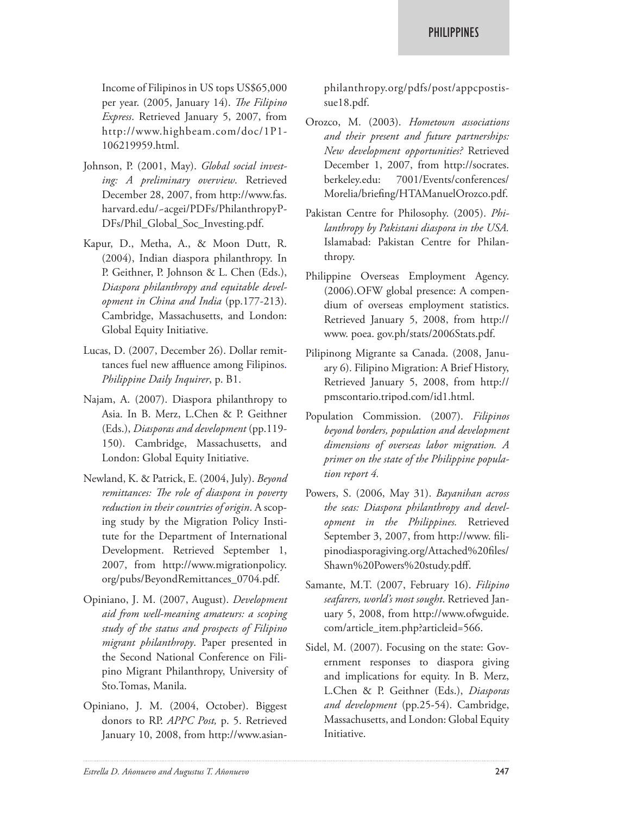Income of Filipinos in US tops US\$65,000 per year. (2005, January 14). *The Filipino Express*. Retrieved January 5, 2007, from http://www.highbeam.com/doc/1P1- 106219959.html.

- Johnson, P. (2001, May). *Global social investing: A preliminary overview*. Retrieved December 28, 2007, from http://www.fas. harvard.edu/~acgei/PDFs/PhilanthropyP-DFs/Phil\_Global\_Soc\_Investing.pdf.
- Kapur, D., Metha, A., & Moon Dutt, R. (2004), Indian diaspora philanthropy. In P. Geithner, P. Johnson & L. Chen (Eds.), *Diaspora philanthropy and equitable development in China and India* (pp.177-213). Cambridge, Massachusetts, and London: Global Equity Initiative.
- Lucas, D. (2007, December 26). Dollar remittances fuel new affluence among Filipinos. *Philippine Daily Inquirer*, p. B1.
- Najam, A. (2007). Diaspora philanthropy to Asia. In B. Merz, L.Chen & P. Geithner (Eds.), *Diasporas and development* (pp.119- 150). Cambridge, Massachusetts, and London: Global Equity Initiative.
- Newland, K. & Patrick, E. (2004, July). *Beyond remittances: The role of diaspora in poverty reduction in their countries of origin*. A scoping study by the Migration Policy Institute for the Department of International Development. Retrieved September 1, 2007, from http://www.migrationpolicy. org/pubs/BeyondRemittances\_0704.pdf.
- Opiniano, J. M. (2007, August). *Development aid from well-meaning amateurs: a scoping study of the status and prospects of Filipino migrant philanthropy*. Paper presented in the Second National Conference on Filipino Migrant Philanthropy, University of Sto.Tomas, Manila.
- Opiniano, J. M. (2004, October). Biggest donors to RP. *APPC Post,* p. 5. Retrieved January 10, 2008, from http://www.asian-

philanthropy.org/pdfs/post/appcpostissue18.pdf.

- Orozco, M. (2003). *Hometown associations and their present and future partnerships: New development opportunities?* Retrieved December 1, 2007, from http://socrates. berkeley.edu: 7001/Events/conferences/ Morelia/briefing/HTAManuelOrozco.pdf.
- Pakistan Centre for Philosophy. (2005). *Philanthropy by Pakistani diaspora in the USA.* Islamabad: Pakistan Centre for Philanthropy.
- Philippine Overseas Employment Agency. (2006).OFW global presence: A compendium of overseas employment statistics. Retrieved January 5, 2008, from http:// www. poea. gov.ph/stats/2006Stats.pdf.
- Pilipinong Migrante sa Canada. (2008, January 6). Filipino Migration: A Brief History, Retrieved January 5, 2008, from http:// pmscontario.tripod.com/id1.html.
- Population Commission. (2007). *Filipinos beyond borders, population and development dimensions of overseas labor migration. A primer on the state of the Philippine population report 4.*
- Powers, S. (2006, May 31). *Bayanihan across the seas: Diaspora philanthropy and development in the Philippines.* Retrieved September 3, 2007, from http://www. filipinodiasporagiving.org/Attached%20files/ Shawn%20Powers%20study.pdff.
- Samante, M.T. (2007, February 16). *Filipino seafarers, world's most sought*. Retrieved January 5, 2008, from http://www.ofwguide. com/article\_item.php?articleid=566.
- Sidel, M. (2007). Focusing on the state: Government responses to diaspora giving and implications for equity. In B. Merz, L.Chen & P. Geithner (Eds.), *Diasporas and development* (pp.25-54). Cambridge, Massachusetts, and London: Global Equity Initiative.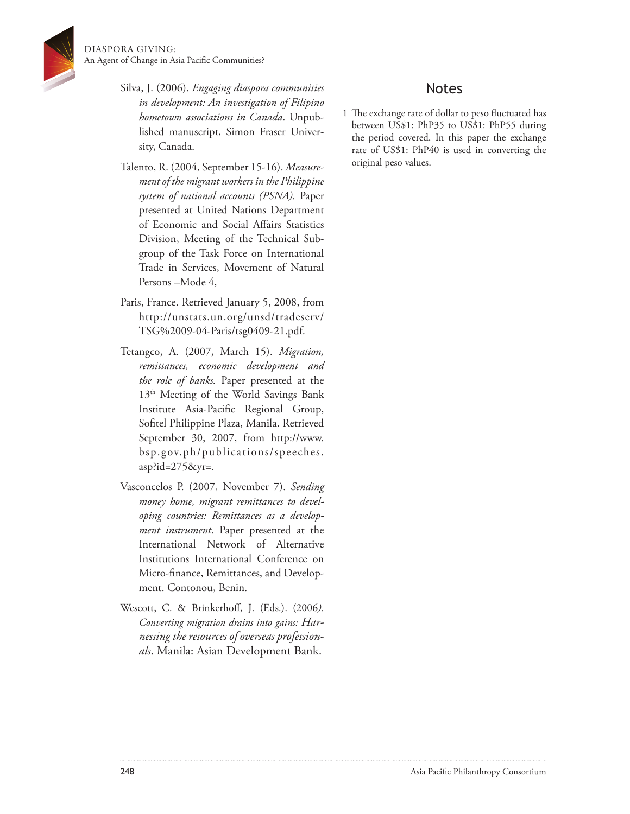- Silva, J. (2006). *Engaging diaspora communities in development: An investigation of Filipino hometown associations in Canada*. Unpublished manuscript, Simon Fraser University, Canada.
- Talento, R. (2004, September 15-16). *Measurement of the migrant workers in the Philippine system of national accounts (PSNA).* Paper presented at United Nations Department of Economic and Social Affairs Statistics Division, Meeting of the Technical Subgroup of the Task Force on International Trade in Services, Movement of Natural Persons –Mode 4,
- Paris, France. Retrieved January 5, 2008, from http://unstats.un.org/unsd/tradeserv/ TSG%2009-04-Paris/tsg0409-21.pdf.
- Tetangco, A. (2007, March 15). *Migration, remittances, economic development and the role of banks.* Paper presented at the 13<sup>th</sup> Meeting of the World Savings Bank Institute Asia-Pacific Regional Group, Sofitel Philippine Plaza, Manila. Retrieved September 30, 2007, from http://www. bsp.gov.ph/publications/speeches. asp?id=275&yr=.
- Vasconcelos P. (2007, November 7). *Sending money home, migrant remittances to developing countries: Remittances as a development instrument*. Paper presented at the International Network of Alternative Institutions International Conference on Micro-finance, Remittances, and Development. Contonou, Benin.
- Wescott, C. & Brinkerhoff, J. (Eds.). (2006*). Converting migration drains into gains: Harnessing the resources of overseas professionals*. Manila: Asian Development Bank.

## Notes

1 The exchange rate of dollar to peso fluctuated has between US\$1: PhP35 to US\$1: PhP55 during the period covered. In this paper the exchange rate of US\$1: PhP40 is used in converting the original peso values.